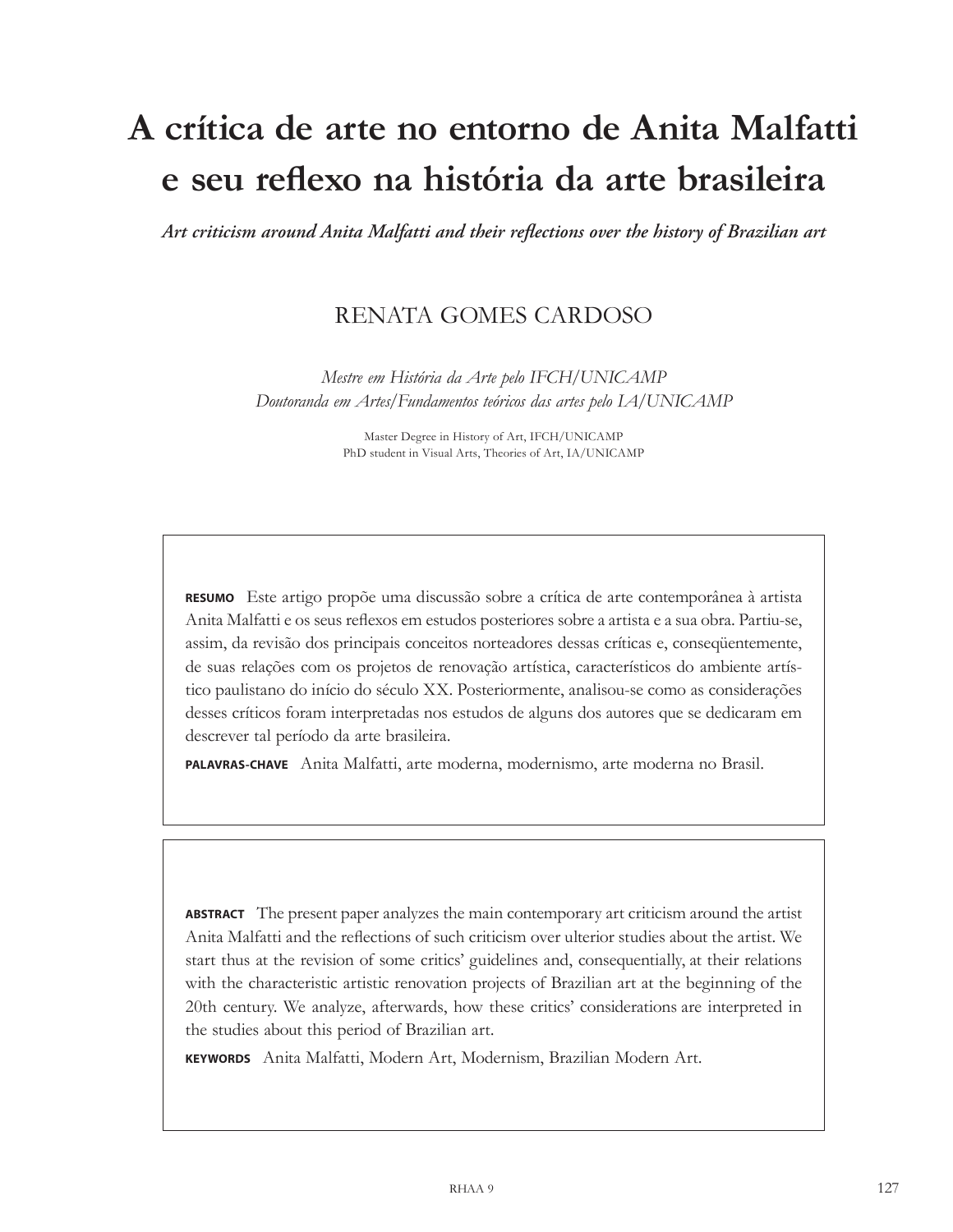# **A crítica de arte no entorno de Anita Malfatti e seu reflexo na história da arte brasileira**

*Art criticism around Anita Malfatti and their reflections over the history of Brazilian art*

# RENATA GOMES CARDOSO

*Mestre em História da Arte pelo IFCH/UNICAMP Doutoranda em Artes/Fundamentos teóricos das artes pelo IA/UNICAMP*

> Master Degree in History of Art, IFCH/UNICAMP PhD student in Visual Arts, Theories of Art, IA/UNICAMP

**Resumo** Este artigo propõe uma discussão sobre a crítica de arte contemporânea à artista Anita Malfatti e os seus reflexos em estudos posteriores sobre a artista e a sua obra. Partiu-se, assim, da revisão dos principais conceitos norteadores dessas críticas e, conseqüentemente, de suas relações com os projetos de renovação artística, característicos do ambiente artístico paulistano do início do século XX. Posteriormente, analisou-se como as considerações desses críticos foram interpretadas nos estudos de alguns dos autores que se dedicaram em descrever tal período da arte brasileira.

**Palavras-chave**  Anita Malfatti, arte moderna, modernismo, arte moderna no Brasil.

**Abstract**  The present paper analyzes the main contemporary art criticism around the artist Anita Malfatti and the reflections of such criticism over ulterior studies about the artist. We start thus at the revision of some critics' guidelines and, consequentially, at their relations with the characteristic artistic renovation projects of Brazilian art at the beginning of the 20th century. We analyze, afterwards, how these critics' considerations are interpreted in the studies about this period of Brazilian art.

**Keywords**  Anita Malfatti, Modern Art, Modernism, Brazilian Modern Art.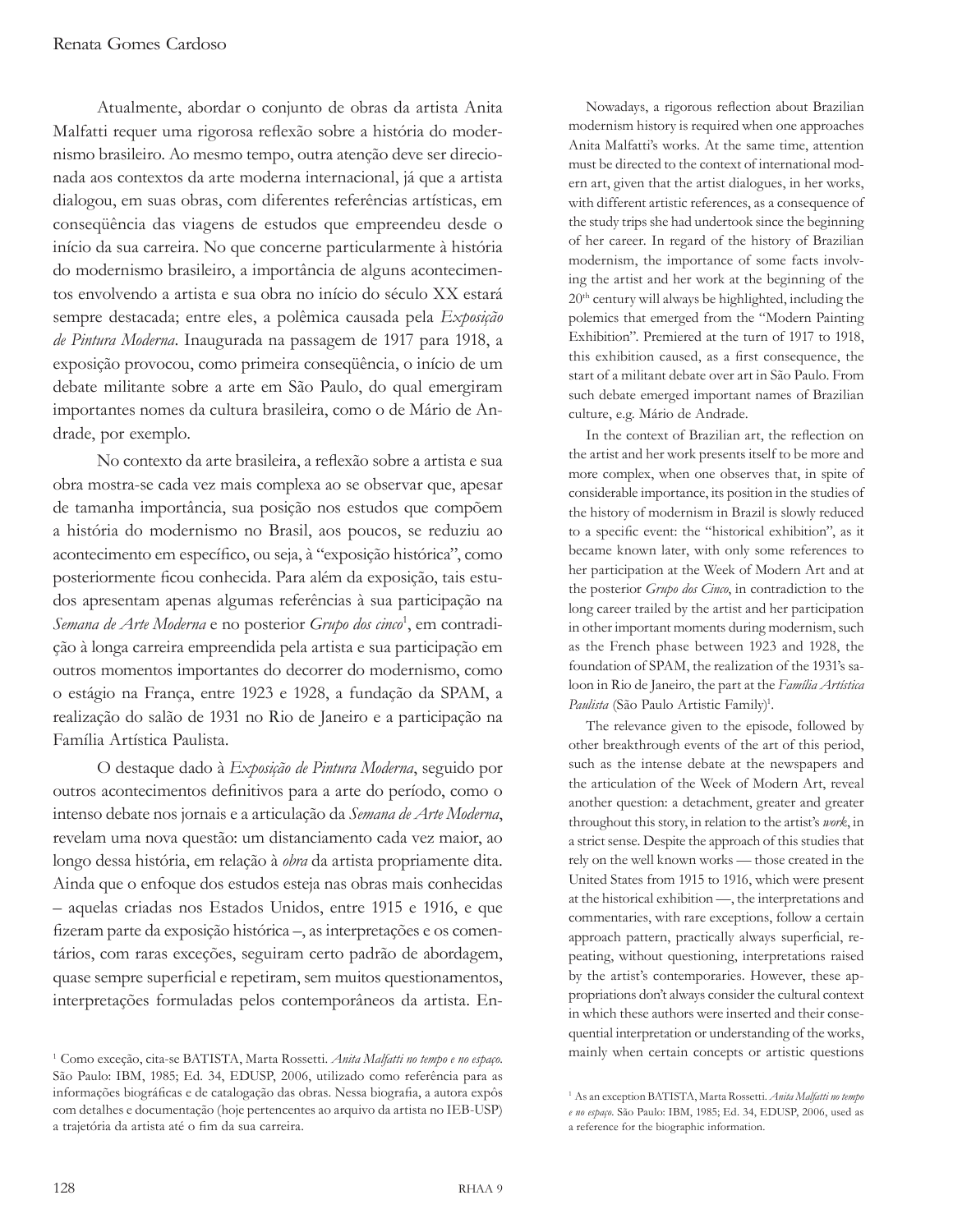Atualmente, abordar o conjunto de obras da artista Anita Malfatti requer uma rigorosa reflexão sobre a história do modernismo brasileiro. Ao mesmo tempo, outra atenção deve ser direcionada aos contextos da arte moderna internacional, já que a artista dialogou, em suas obras, com diferentes referências artísticas, em conseqüência das viagens de estudos que empreendeu desde o início da sua carreira. No que concerne particularmente à história do modernismo brasileiro, a importância de alguns acontecimentos envolvendo a artista e sua obra no início do século XX estará sempre destacada; entre eles, a polêmica causada pela *Exposição de Pintura Moderna*. Inaugurada na passagem de 1917 para 1918, a exposição provocou, como primeira conseqüência, o início de um debate militante sobre a arte em São Paulo, do qual emergiram importantes nomes da cultura brasileira, como o de Mário de Andrade, por exemplo.

No contexto da arte brasileira, a reflexão sobre a artista e sua obra mostra-se cada vez mais complexa ao se observar que, apesar de tamanha importância, sua posição nos estudos que compõem a história do modernismo no Brasil, aos poucos, se reduziu ao acontecimento em específico, ou seja, à "exposição histórica", como posteriormente ficou conhecida. Para além da exposição, tais estudos apresentam apenas algumas referências à sua participação na *Semana de Arte Moderna* e no posterior *Grupo dos cinco*<sup>1</sup> , em contradição à longa carreira empreendida pela artista e sua participação em outros momentos importantes do decorrer do modernismo, como o estágio na França, entre 1923 e 1928, a fundação da SPAM, a realização do salão de 1931 no Rio de Janeiro e a participação na Família Artística Paulista.

O destaque dado à *Exposição de Pintura Moderna*, seguido por outros acontecimentos definitivos para a arte do período, como o intenso debate nos jornais e a articulação da *Semana de Arte Moderna*, revelam uma nova questão: um distanciamento cada vez maior, ao longo dessa história, em relação à *obra* da artista propriamente dita. Ainda que o enfoque dos estudos esteja nas obras mais conhecidas – aquelas criadas nos Estados Unidos, entre 1915 e 1916, e que fizeram parte da exposição histórica –, as interpretações e os comentários, com raras exceções, seguiram certo padrão de abordagem, quase sempre superficial e repetiram, sem muitos questionamentos, interpretações formuladas pelos contemporâneos da artista. En-

Nowadays, a rigorous reflection about Brazilian modernism history is required when one approaches Anita Malfatti's works. At the same time, attention must be directed to the context of international modern art, given that the artist dialogues, in her works, with different artistic references, as a consequence of the study trips she had undertook since the beginning of her career. In regard of the history of Brazilian modernism, the importance of some facts involving the artist and her work at the beginning of the 20th century will always be highlighted, including the polemics that emerged from the "Modern Painting Exhibition". Premiered at the turn of 1917 to 1918, this exhibition caused, as a first consequence, the start of a militant debate over art in São Paulo. From such debate emerged important names of Brazilian culture, e.g. Mário de Andrade.

In the context of Brazilian art, the reflection on the artist and her work presents itself to be more and more complex, when one observes that, in spite of considerable importance, its position in the studies of the history of modernism in Brazil is slowly reduced to a specific event: the "historical exhibition", as it became known later, with only some references to her participation at the Week of Modern Art and at the posterior *Grupo dos Cinco*, in contradiction to the long career trailed by the artist and her participation in other important moments during modernism, such as the French phase between 1923 and 1928, the foundation of SPAM, the realization of the 1931's saloon in Rio de Janeiro, the part at the *Família Artística*  Paulista (São Paulo Artistic Family)<sup>1</sup>.

The relevance given to the episode, followed by other breakthrough events of the art of this period, such as the intense debate at the newspapers and the articulation of the Week of Modern Art, reveal another question: a detachment, greater and greater throughout this story, in relation to the artist's *work*, in a strict sense. Despite the approach of this studies that rely on the well known works — those created in the United States from 1915 to 1916, which were present at the historical exhibition —, the interpretations and commentaries, with rare exceptions, follow a certain approach pattern, practically always superficial, repeating, without questioning, interpretations raised by the artist's contemporaries. However, these appropriations don't always consider the cultural context in which these authors were inserted and their consequential interpretation or understanding of the works, mainly when certain concepts or artistic questions

<sup>1</sup>Como exceção, cita-se BATISTA, Marta Rossetti. *Anita Malfatti no tempo e no espaço*. São Paulo: IBM, 1985; Ed. 34, EDUSP, 2006, utilizado como referência para as informações biográficas e de catalogação das obras. Nessa biografia, a autora expôs com detalhes e documentação (hoje pertencentes ao arquivo da artista no IEB-USP) a trajetória da artista até o fim da sua carreira.

<sup>1</sup>As an exception BATISTA, Marta Rossetti. *Anita Malfatti no tempo e no espaço*. São Paulo: IBM, 1985; Ed. 34, EDUSP, 2006, used as a reference for the biographic information.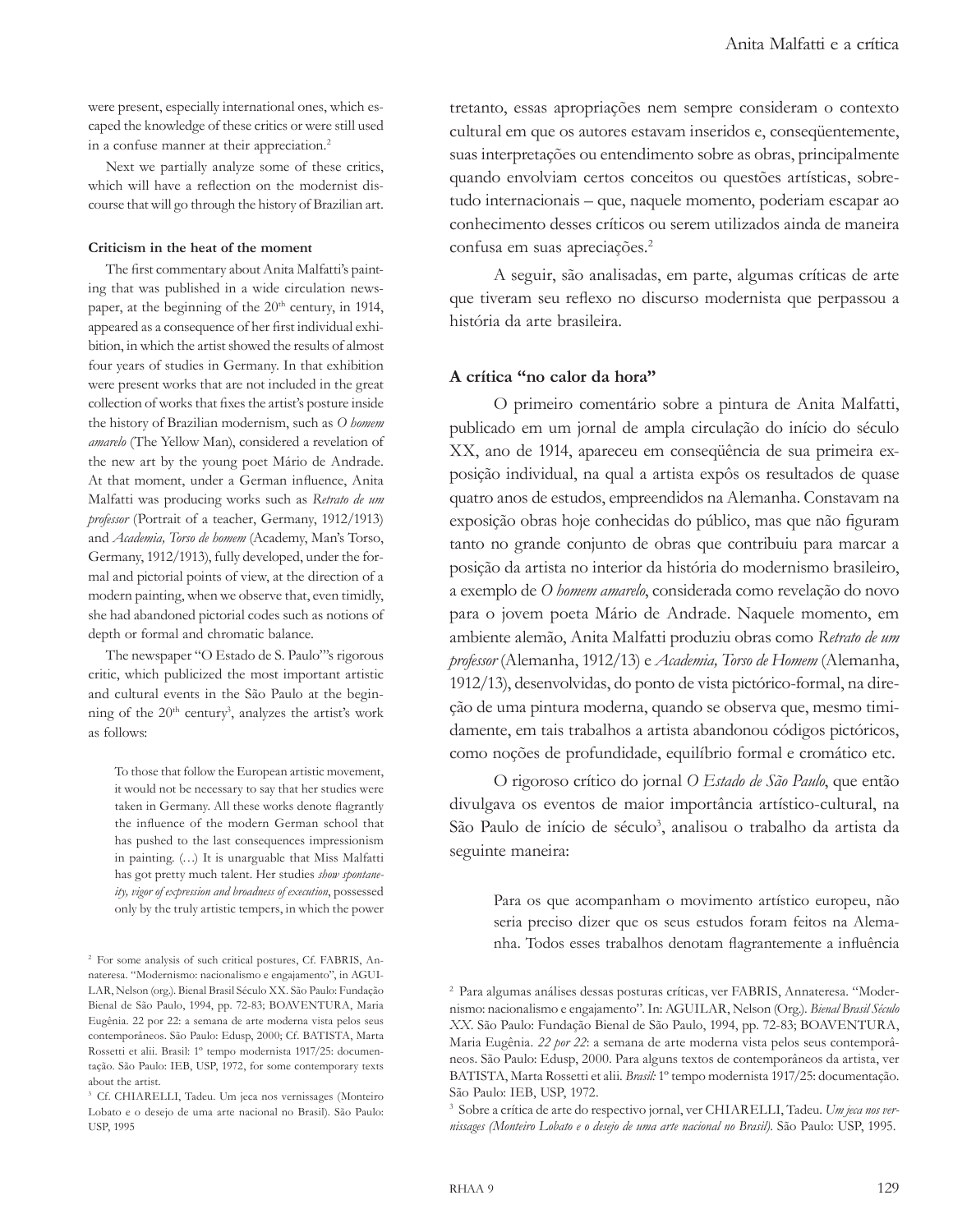were present, especially international ones, which escaped the knowledge of these critics or were still used in a confuse manner at their appreciation.<sup>2</sup>

Next we partially analyze some of these critics, which will have a reflection on the modernist discourse that will go through the history of Brazilian art.

#### **Criticism in the heat of the moment**

The first commentary about Anita Malfatti's painting that was published in a wide circulation newspaper, at the beginning of the 20<sup>th</sup> century, in 1914, appeared as a consequence of her first individual exhibition, in which the artist showed the results of almost four years of studies in Germany. In that exhibition were present works that are not included in the great collection of works that fixes the artist's posture inside the history of Brazilian modernism, such as *O homem amarelo* (The Yellow Man), considered a revelation of the new art by the young poet Mário de Andrade. At that moment, under a German influence, Anita Malfatti was producing works such as *Retrato de um professor* (Portrait of a teacher, Germany, 1912/1913) and *Academia, Torso de homem* (Academy, Man's Torso, Germany, 1912/1913), fully developed, under the formal and pictorial points of view, at the direction of a modern painting, when we observe that, even timidly, she had abandoned pictorial codes such as notions of depth or formal and chromatic balance.

The newspaper "O Estado de S. Paulo"'s rigorous critic, which publicized the most important artistic and cultural events in the São Paulo at the beginning of the 20<sup>th</sup> century<sup>3</sup>, analyzes the artist's work as follows:

To those that follow the European artistic movement, it would not be necessary to say that her studies were taken in Germany. All these works denote flagrantly the influence of the modern German school that has pushed to the last consequences impressionism in painting. (…) It is unarguable that Miss Malfatti has got pretty much talent. Her studies *show spontaneity, vigor of expression and broadness of execution*, possessed only by the truly artistic tempers, in which the power

tretanto, essas apropriações nem sempre consideram o contexto cultural em que os autores estavam inseridos e, conseqüentemente, suas interpretações ou entendimento sobre as obras, principalmente quando envolviam certos conceitos ou questões artísticas, sobretudo internacionais – que, naquele momento, poderiam escapar ao conhecimento desses críticos ou serem utilizados ainda de maneira confusa em suas apreciações.<sup>2</sup>

A seguir, são analisadas, em parte, algumas críticas de arte que tiveram seu reflexo no discurso modernista que perpassou a história da arte brasileira.

## **A crítica "no calor da hora"**

O primeiro comentário sobre a pintura de Anita Malfatti, publicado em um jornal de ampla circulação do início do século XX, ano de 1914, apareceu em conseqüência de sua primeira exposição individual, na qual a artista expôs os resultados de quase quatro anos de estudos, empreendidos na Alemanha. Constavam na exposição obras hoje conhecidas do público, mas que não figuram tanto no grande conjunto de obras que contribuiu para marcar a posição da artista no interior da história do modernismo brasileiro, a exemplo de *O homem amarelo*, considerada como revelação do novo para o jovem poeta Mário de Andrade. Naquele momento, em ambiente alemão, Anita Malfatti produziu obras como *Retrato de um professor* (Alemanha, 1912/13) e *Academia, Torso de Homem* (Alemanha, 1912/13), desenvolvidas, do ponto de vista pictórico-formal, na direção de uma pintura moderna, quando se observa que, mesmo timidamente, em tais trabalhos a artista abandonou códigos pictóricos, como noções de profundidade, equilíbrio formal e cromático etc.

O rigoroso crítico do jornal *O Estado de São Paulo*, que então divulgava os eventos de maior importância artístico-cultural, na São Paulo de início de século<sup>3</sup>, analisou o trabalho da artista da seguinte maneira:

Para os que acompanham o movimento artístico europeu, não seria preciso dizer que os seus estudos foram feitos na Alemanha. Todos esses trabalhos denotam flagrantemente a influência

<sup>2</sup> For some analysis of such critical postures, Cf. FABRIS, Annateresa. "Modernismo: nacionalismo e engajamento", in AGUI-LAR, Nelson (org.). Bienal Brasil Século XX. São Paulo: Fundação Bienal de São Paulo, 1994, pp. 72-83; BOAVENTURA, Maria Eugênia. 22 por 22: a semana de arte moderna vista pelos seus contemporâneos. São Paulo: Edusp, 2000; Cf. BATISTA, Marta Rossetti et alii. Brasil: 1º tempo modernista 1917/25: documentação. São Paulo: IEB, USP, 1972, for some contemporary texts about the artist.

<sup>&</sup>lt;sup>3</sup> Cf. CHIARELLI, Tadeu. Um jeca nos vernissages (Monteiro Lobato e o desejo de uma arte nacional no Brasil). São Paulo: USP, 1995

<sup>2</sup> Para algumas análises dessas posturas críticas, ver FABRIS, Annateresa. "Modernismo: nacionalismo e engajamento". In: AGUILAR, Nelson (Org.). *Bienal Brasil Século XX*. São Paulo: Fundação Bienal de São Paulo, 1994, pp. 72-83; BOAVENTURA, Maria Eugênia. *22 por 22*: a semana de arte moderna vista pelos seus contemporâneos. São Paulo: Edusp, 2000. Para alguns textos de contemporâneos da artista, ver BATISTA, Marta Rossetti et alii. *Brasil:* 1º tempo modernista 1917/25: documentação. São Paulo: IEB, USP, 1972.

<sup>3</sup> Sobre a crítica de arte do respectivo jornal, ver CHIARELLI, Tadeu. *Um jeca nos vernissages (Monteiro Lobato e o desejo de uma arte nacional no Brasil)*. São Paulo: USP, 1995.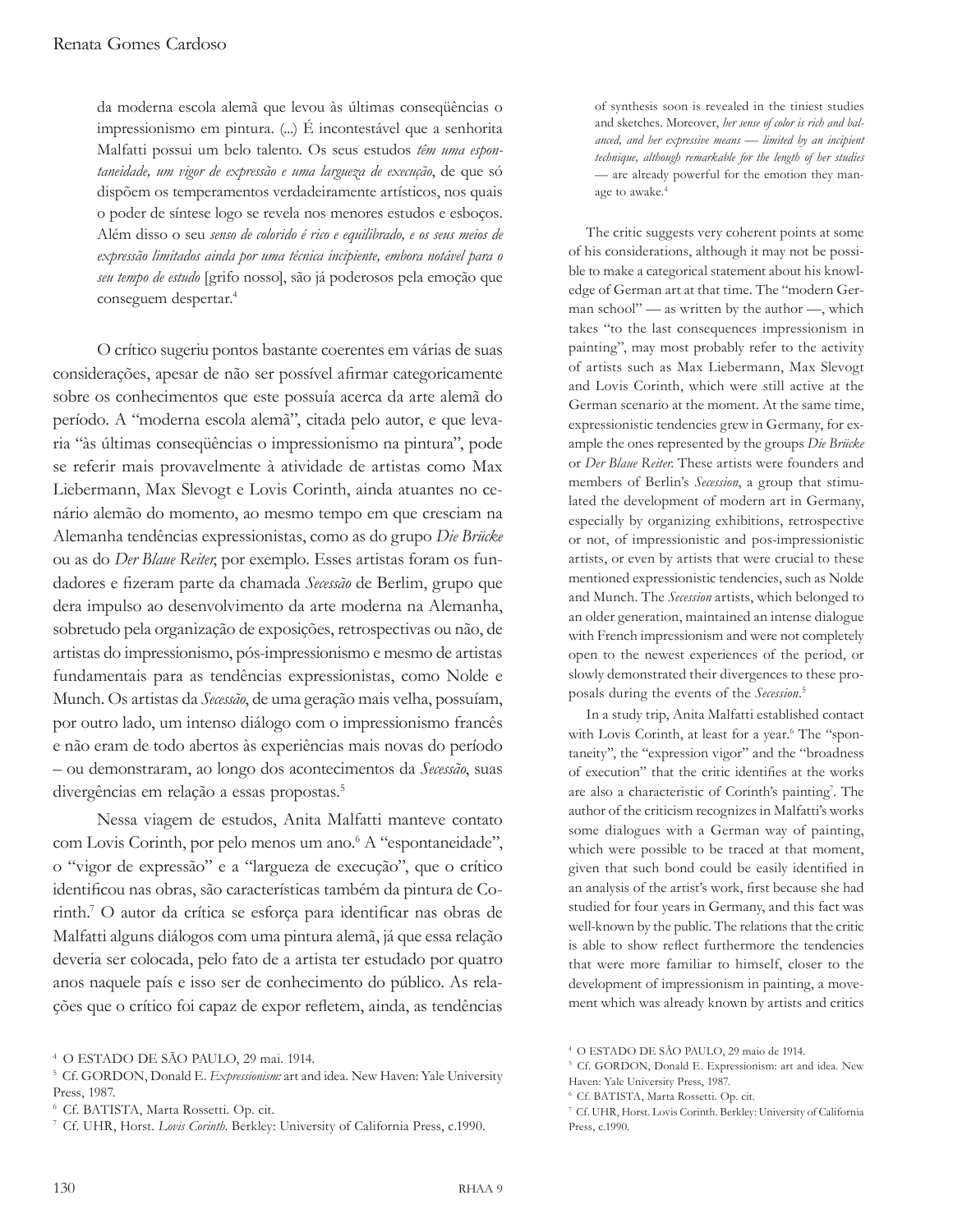da moderna escola alemã que levou às últimas conseqüências o impressionismo em pintura. (...) É incontestável que a senhorita Malfatti possui um belo talento. Os seus estudos *têm uma espontaneidade, um vigor de expressão e uma largueza de execução*, de que só dispõem os temperamentos verdadeiramente artísticos, nos quais o poder de síntese logo se revela nos menores estudos e esboços. Além disso o seu *senso de colorido é rico e equilibrado, e os seus meios de expressão limitados ainda por uma técnica incipiente, embora notável para o seu tempo de estudo* [grifo nosso], são já poderosos pela emoção que conseguem despertar.<sup>4</sup>

O crítico sugeriu pontos bastante coerentes em várias de suas considerações, apesar de não ser possível afirmar categoricamente sobre os conhecimentos que este possuía acerca da arte alemã do período. A "moderna escola alemã", citada pelo autor, e que levaria "às últimas conseqüências o impressionismo na pintura", pode se referir mais provavelmente à atividade de artistas como Max Liebermann, Max Slevogt e Lovis Corinth, ainda atuantes no cenário alemão do momento, ao mesmo tempo em que cresciam na Alemanha tendências expressionistas, como as do grupo *Die Brücke* ou as do *Der Blaue Reiter*, por exemplo. Esses artistas foram os fundadores e fizeram parte da chamada *Secessão* de Berlim, grupo que dera impulso ao desenvolvimento da arte moderna na Alemanha, sobretudo pela organização de exposições, retrospectivas ou não, de artistas do impressionismo, pós-impressionismo e mesmo de artistas fundamentais para as tendências expressionistas, como Nolde e Munch. Os artistas da *Secessão*, de uma geração mais velha, possuíam, por outro lado, um intenso diálogo com o impressionismo francês e não eram de todo abertos às experiências mais novas do período – ou demonstraram, ao longo dos acontecimentos da *Secessão*, suas divergências em relação a essas propostas.

Nessa viagem de estudos, Anita Malfatti manteve contato com Lovis Corinth, por pelo menos um ano.<sup>6</sup> A "espontaneidade", o "vigor de expressão" e a "largueza de execução", que o crítico identificou nas obras, são características também da pintura de Corinth.<sup>7</sup> O autor da crítica se esforça para identificar nas obras de Malfatti alguns diálogos com uma pintura alemã, já que essa relação deveria ser colocada, pelo fato de a artista ter estudado por quatro anos naquele país e isso ser de conhecimento do público. As relações que o crítico foi capaz de expor refletem, ainda, as tendências

of synthesis soon is revealed in the tiniest studies and sketches. Moreover, *her sense of color is rich and balanced, and her expressive means — limited by an incipient technique, although remarkable for the length of her studies —* are already powerful for the emotion they manage to awake.<sup>4</sup>

The critic suggests very coherent points at some of his considerations, although it may not be possible to make a categorical statement about his knowledge of German art at that time. The "modern German school" — as written by the author —, which takes "to the last consequences impressionism in painting", may most probably refer to the activity of artists such as Max Liebermann, Max Slevogt and Lovis Corinth, which were still active at the German scenario at the moment. At the same time, expressionistic tendencies grew in Germany, for example the ones represented by the groups *Die Brücke* or *Der Blaue Reiter*. These artists were founders and members of Berlin's *Secession*, a group that stimulated the development of modern art in Germany, especially by organizing exhibitions, retrospective or not, of impressionistic and pos-impressionistic artists, or even by artists that were crucial to these mentioned expressionistic tendencies, such as Nolde and Munch. The *Secession* artists, which belonged to an older generation, maintained an intense dialogue with French impressionism and were not completely open to the newest experiences of the period, or slowly demonstrated their divergences to these proposals during the events of the *Secession*.

In a study trip, Anita Malfatti established contact with Lovis Corinth, at least for a year.<sup>6</sup> The "spontaneity", the "expression vigor" and the "broadness of execution" that the critic identifies at the works are also a characteristic of Corinth's painting<sup>7</sup>. The author of the criticism recognizes in Malfatti's works some dialogues with a German way of painting, which were possible to be traced at that moment, given that such bond could be easily identified in an analysis of the artist's work, first because she had studied for four years in Germany, and this fact was well-known by the public. The relations that the critic is able to show reflect furthermore the tendencies that were more familiar to himself, closer to the development of impressionism in painting, a movement which was already known by artists and critics

Cf. BATISTA, Marta Rossetti. Op. cit.

<sup>4</sup>O ESTADO DE SÃO PAULO, 29 mai. 1914.

<sup>&</sup>lt;sup>5</sup> Cf. GORDON, Donald E. *Expressionism*: art and idea. New Haven: Yale University Press, 1987.

Cf. BATISTA, Marta Rossetti. Op. cit.

<sup>7</sup>Cf. UHR, Horst. *Lovis Corinth*. Berkley: University of California Press, c.1990.

<sup>4</sup>O ESTADO DE SÃO PAULO, 29 maio de 1914.

<sup>&</sup>lt;sup>5</sup> Cf. GORDON, Donald E. Expressionism: art and idea. New Haven: Yale University Press, 1987.

<sup>7</sup>Cf. UHR, Horst. Lovis Corinth. Berkley: University of California Press, c.1990.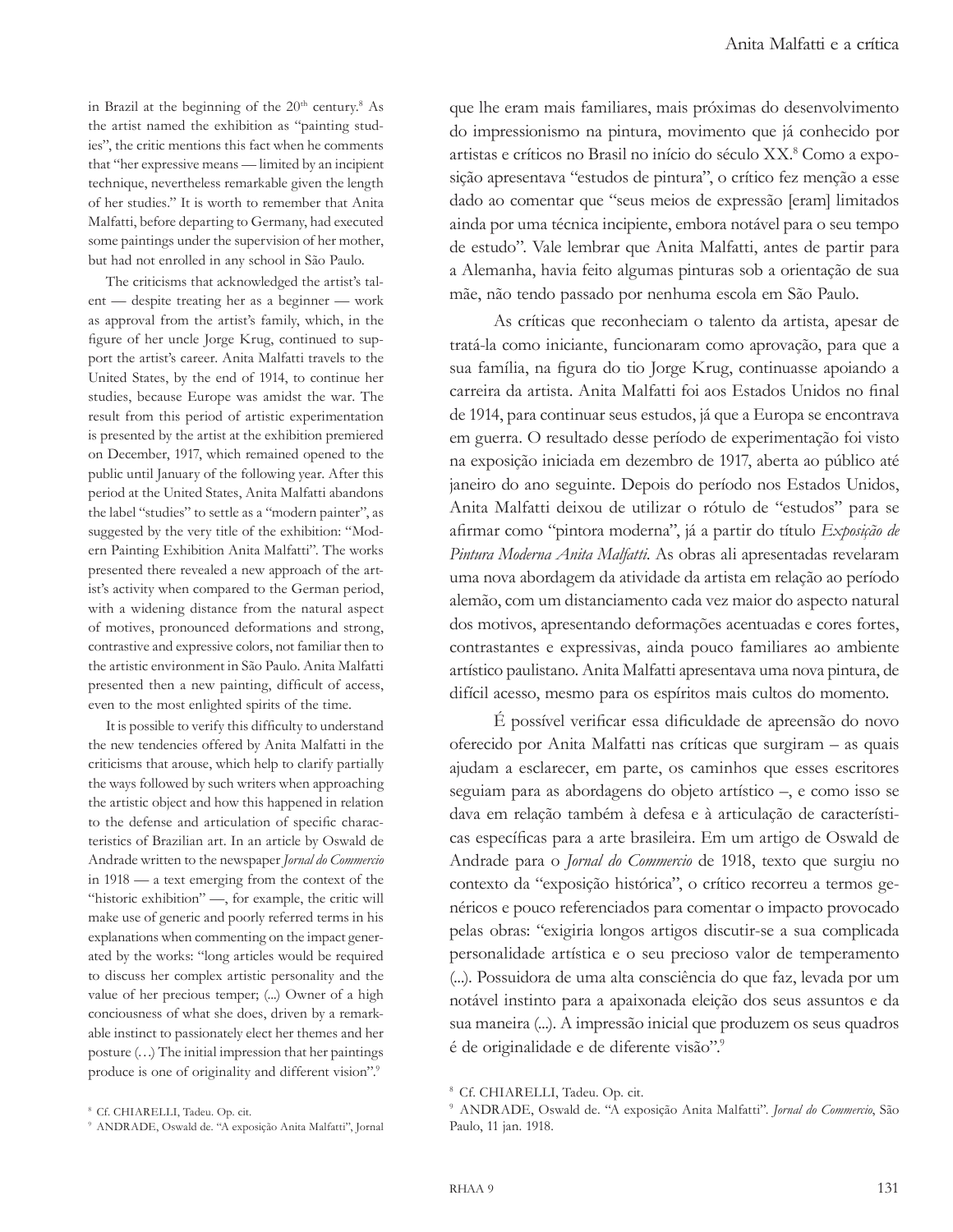in Brazil at the beginning of the  $20<sup>th</sup>$  century.<sup>8</sup> As the artist named the exhibition as "painting studies", the critic mentions this fact when he comments that "her expressive means — limited by an incipient technique, nevertheless remarkable given the length of her studies." It is worth to remember that Anita Malfatti, before departing to Germany, had executed some paintings under the supervision of her mother, but had not enrolled in any school in São Paulo.

The criticisms that acknowledged the artist's talent — despite treating her as a beginner — work as approval from the artist's family, which, in the figure of her uncle Jorge Krug, continued to support the artist's career. Anita Malfatti travels to the United States, by the end of 1914, to continue her studies, because Europe was amidst the war. The result from this period of artistic experimentation is presented by the artist at the exhibition premiered on December, 1917, which remained opened to the public until January of the following year. After this period at the United States, Anita Malfatti abandons the label "studies" to settle as a "modern painter", as suggested by the very title of the exhibition: "Modern Painting Exhibition Anita Malfatti". The works presented there revealed a new approach of the artist's activity when compared to the German period, with a widening distance from the natural aspect of motives, pronounced deformations and strong, contrastive and expressive colors, not familiar then to the artistic environment in São Paulo. Anita Malfatti presented then a new painting, difficult of access, even to the most enlighted spirits of the time.

It is possible to verify this difficulty to understand the new tendencies offered by Anita Malfatti in the criticisms that arouse, which help to clarify partially the ways followed by such writers when approaching the artistic object and how this happened in relation to the defense and articulation of specific characteristics of Brazilian art. In an article by Oswald de Andrade written to the newspaper *Jornal do Commercio* in 1918 — a text emerging from the context of the "historic exhibition" -, for example, the critic will make use of generic and poorly referred terms in his explanations when commenting on the impact generated by the works: "long articles would be required to discuss her complex artistic personality and the value of her precious temper; (...) Owner of a high conciousness of what she does, driven by a remarkable instinct to passionately elect her themes and her posture (…) The initial impression that her paintings produce is one of originality and different vision".<sup>9</sup>

que lhe eram mais familiares, mais próximas do desenvolvimento do impressionismo na pintura, movimento que já conhecido por artistas e críticos no Brasil no início do século XX.<sup>8</sup> Como a exposição apresentava "estudos de pintura", o crítico fez menção a esse dado ao comentar que "seus meios de expressão [eram] limitados ainda por uma técnica incipiente, embora notável para o seu tempo de estudo". Vale lembrar que Anita Malfatti, antes de partir para a Alemanha, havia feito algumas pinturas sob a orientação de sua mãe, não tendo passado por nenhuma escola em São Paulo.

As críticas que reconheciam o talento da artista, apesar de tratá-la como iniciante, funcionaram como aprovação, para que a sua família, na figura do tio Jorge Krug, continuasse apoiando a carreira da artista. Anita Malfatti foi aos Estados Unidos no final de 1914, para continuar seus estudos, já que a Europa se encontrava em guerra. O resultado desse período de experimentação foi visto na exposição iniciada em dezembro de 1917, aberta ao público até janeiro do ano seguinte. Depois do período nos Estados Unidos, Anita Malfatti deixou de utilizar o rótulo de "estudos" para se afirmar como "pintora moderna", já a partir do título *Exposição de Pintura Moderna Anita Malfatti*. As obras ali apresentadas revelaram uma nova abordagem da atividade da artista em relação ao período alemão, com um distanciamento cada vez maior do aspecto natural dos motivos, apresentando deformações acentuadas e cores fortes, contrastantes e expressivas, ainda pouco familiares ao ambiente artístico paulistano. Anita Malfatti apresentava uma nova pintura, de difícil acesso, mesmo para os espíritos mais cultos do momento.

É possível verificar essa dificuldade de apreensão do novo oferecido por Anita Malfatti nas críticas que surgiram – as quais ajudam a esclarecer, em parte, os caminhos que esses escritores seguiam para as abordagens do objeto artístico –, e como isso se dava em relação também à defesa e à articulação de características específicas para a arte brasileira. Em um artigo de Oswald de Andrade para o *Jornal do Commercio* de 1918, texto que surgiu no contexto da "exposição histórica", o crítico recorreu a termos genéricos e pouco referenciados para comentar o impacto provocado pelas obras: "exigiria longos artigos discutir-se a sua complicada personalidade artística e o seu precioso valor de temperamento (...). Possuidora de uma alta consciência do que faz, levada por um notável instinto para a apaixonada eleição dos seus assuntos e da sua maneira (...). A impressão inicial que produzem os seus quadros é de originalidade e de diferente visão".<sup>9</sup>

<sup>8</sup>Cf. CHIARELLI, Tadeu. Op. cit.

<sup>9</sup> ANDRADE, Oswald de. "A exposição Anita Malfatti", Jornal

<sup>&</sup>lt;sup>8</sup> Cf. CHIARELLI, Tadeu. Op. cit.

<sup>9</sup>ANDRADE, Oswald de. "A exposição Anita Malfatti". *Jornal do Commercio*, São Paulo, 11 jan. 1918.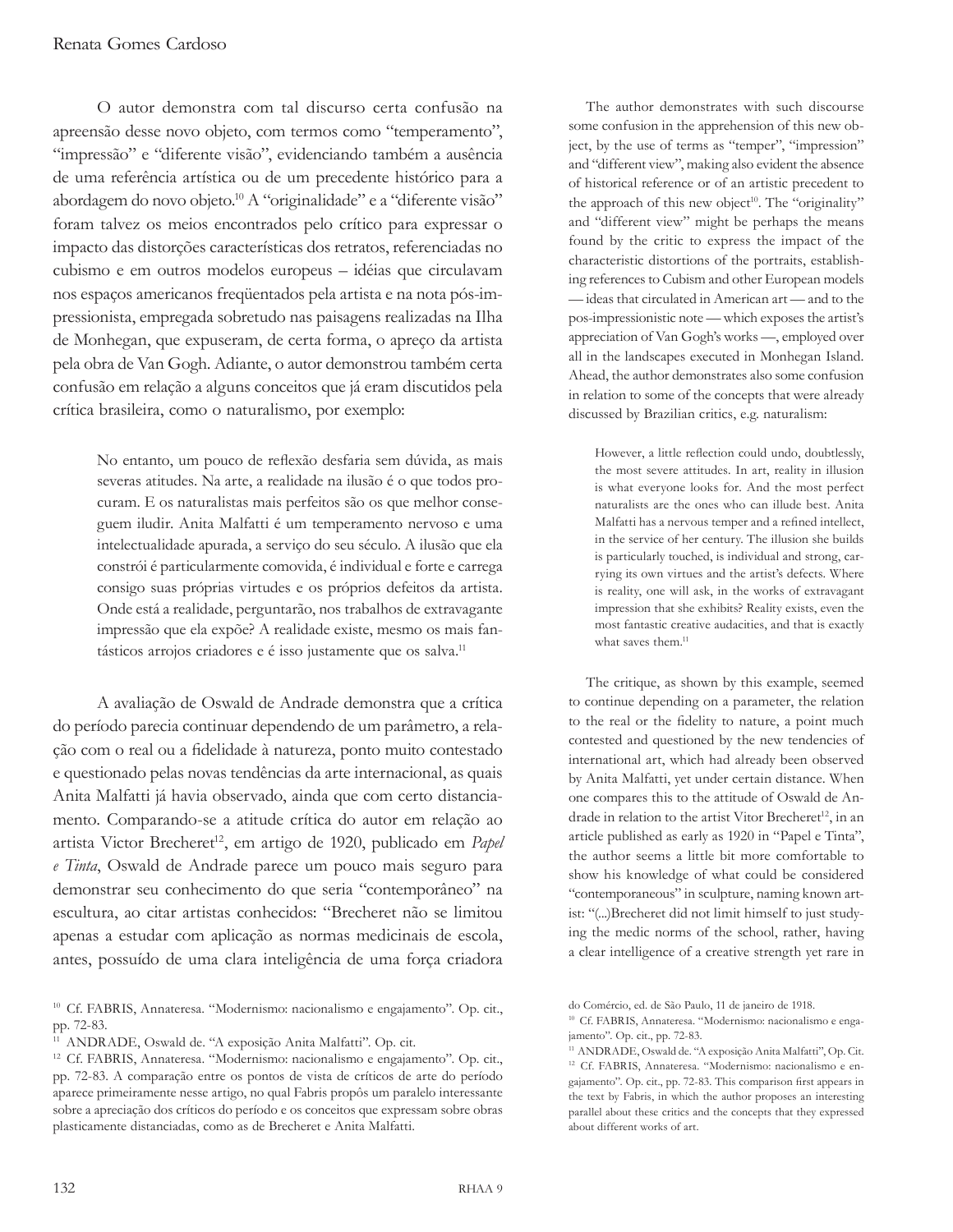O autor demonstra com tal discurso certa confusão na apreensão desse novo objeto, com termos como "temperamento", "impressão" e "diferente visão", evidenciando também a ausência de uma referência artística ou de um precedente histórico para a abordagem do novo objeto.<sup>10</sup> A "originalidade" e a "diferente visão" foram talvez os meios encontrados pelo crítico para expressar o impacto das distorções características dos retratos, referenciadas no cubismo e em outros modelos europeus – idéias que circulavam nos espaços americanos freqüentados pela artista e na nota pós-impressionista, empregada sobretudo nas paisagens realizadas na Ilha de Monhegan, que expuseram, de certa forma, o apreço da artista pela obra de Van Gogh. Adiante, o autor demonstrou também certa confusão em relação a alguns conceitos que já eram discutidos pela crítica brasileira, como o naturalismo, por exemplo:

No entanto, um pouco de reflexão desfaria sem dúvida, as mais severas atitudes. Na arte, a realidade na ilusão é o que todos procuram. E os naturalistas mais perfeitos são os que melhor conseguem iludir. Anita Malfatti é um temperamento nervoso e uma intelectualidade apurada, a serviço do seu século. A ilusão que ela constrói é particularmente comovida, é individual e forte e carrega consigo suas próprias virtudes e os próprios defeitos da artista. Onde está a realidade, perguntarão, nos trabalhos de extravagante impressão que ela expõe? A realidade existe, mesmo os mais fantásticos arrojos criadores e é isso justamente que os salva.<sup>11</sup>

A avaliação de Oswald de Andrade demonstra que a crítica do período parecia continuar dependendo de um parâmetro, a relação com o real ou a fidelidade à natureza, ponto muito contestado e questionado pelas novas tendências da arte internacional, as quais Anita Malfatti já havia observado, ainda que com certo distanciamento. Comparando-se a atitude crítica do autor em relação ao artista Victor Brecheret<sup>12</sup>, em artigo de 1920, publicado em *Papel e Tinta*, Oswald de Andrade parece um pouco mais seguro para demonstrar seu conhecimento do que seria "contemporâneo" na escultura, ao citar artistas conhecidos: "Brecheret não se limitou apenas a estudar com aplicação as normas medicinais de escola, antes, possuído de uma clara inteligência de uma força criadora

The author demonstrates with such discourse some confusion in the apprehension of this new object, by the use of terms as "temper", "impression" and "different view", making also evident the absence of historical reference or of an artistic precedent to the approach of this new object<sup>10</sup>. The "originality" and "different view" might be perhaps the means found by the critic to express the impact of the characteristic distortions of the portraits, establishing references to Cubism and other European models — ideas that circulated in American art — and to the pos-impressionistic note — which exposes the artist's appreciation of Van Gogh's works —, employed over all in the landscapes executed in Monhegan Island. Ahead, the author demonstrates also some confusion in relation to some of the concepts that were already discussed by Brazilian critics, e.g. naturalism:

However, a little reflection could undo, doubtlessly, the most severe attitudes. In art, reality in illusion is what everyone looks for. And the most perfect naturalists are the ones who can illude best. Anita Malfatti has a nervous temper and a refined intellect, in the service of her century. The illusion she builds is particularly touched, is individual and strong, carrying its own virtues and the artist's defects. Where is reality, one will ask, in the works of extravagant impression that she exhibits? Reality exists, even the most fantastic creative audacities, and that is exactly what saves them.<sup>11</sup>

The critique, as shown by this example, seemed to continue depending on a parameter, the relation to the real or the fidelity to nature, a point much contested and questioned by the new tendencies of international art, which had already been observed by Anita Malfatti, yet under certain distance. When one compares this to the attitude of Oswald de Andrade in relation to the artist Vitor Brecheret<sup>12</sup>, in an article published as early as 1920 in "Papel e Tinta", the author seems a little bit more comfortable to show his knowledge of what could be considered "contemporaneous" in sculpture, naming known artist: "(...)Brecheret did not limit himself to just studying the medic norms of the school, rather, having a clear intelligence of a creative strength yet rare in

<sup>10</sup> Cf. FABRIS, Annateresa. "Modernismo: nacionalismo e engajamento". Op. cit., pp. 72-83.

<sup>11</sup> ANDRADE, Oswald de. "A exposição Anita Malfatti". Op. cit.

<sup>12</sup> Cf. FABRIS, Annateresa. "Modernismo: nacionalismo e engajamento". Op. cit., pp. 72-83. A comparação entre os pontos de vista de críticos de arte do período aparece primeiramente nesse artigo, no qual Fabris propôs um paralelo interessante sobre a apreciação dos críticos do período e os conceitos que expressam sobre obras plasticamente distanciadas, como as de Brecheret e Anita Malfatti.

do Comércio, ed. de São Paulo, 11 de janeiro de 1918.

<sup>10</sup> Cf. FABRIS, Annateresa. "Modernismo: nacionalismo e engajamento". Op. cit., pp. 72-83.

<sup>11</sup> ANDRADE, Oswald de. "A exposição Anita Malfatti", Op. Cit. <sup>12</sup> Cf. FABRIS, Annateresa. "Modernismo: nacionalismo e engajamento". Op. cit., pp. 72-83. This comparison first appears in the text by Fabris, in which the author proposes an interesting parallel about these critics and the concepts that they expressed about different works of art.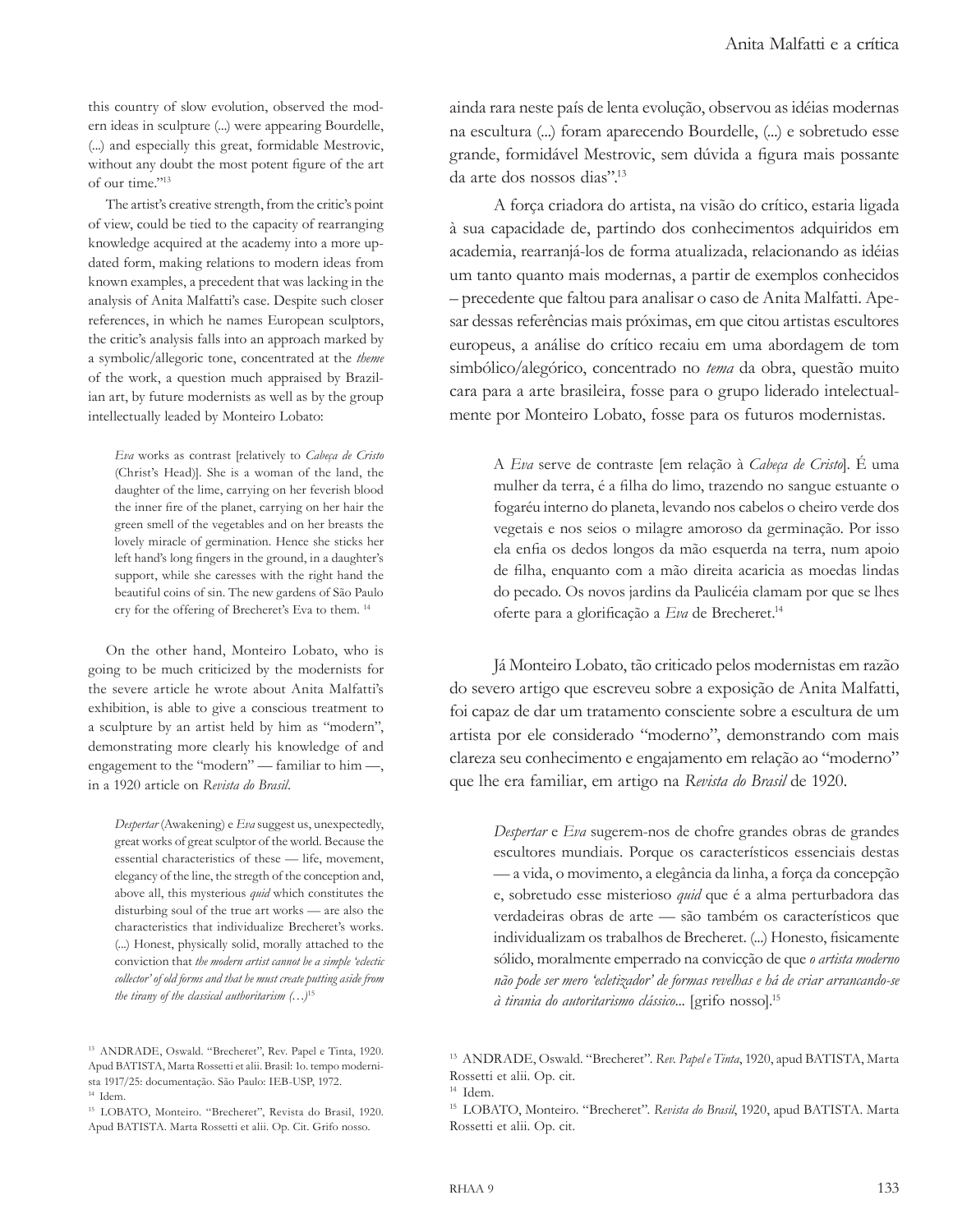this country of slow evolution, observed the modern ideas in sculpture (...) were appearing Bourdelle, (...) and especially this great, formidable Mestrovic, without any doubt the most potent figure of the art of our time."<sup>13</sup>

The artist's creative strength, from the critic's point of view, could be tied to the capacity of rearranging knowledge acquired at the academy into a more updated form, making relations to modern ideas from known examples, a precedent that was lacking in the analysis of Anita Malfatti's case. Despite such closer references, in which he names European sculptors, the critic's analysis falls into an approach marked by a symbolic/allegoric tone, concentrated at the *theme* of the work, a question much appraised by Brazilian art, by future modernists as well as by the group intellectually leaded by Monteiro Lobato:

*Eva* works as contrast [relatively to *Cabeça de Cristo*  (Christ's Head)]. She is a woman of the land, the daughter of the lime, carrying on her feverish blood the inner fire of the planet, carrying on her hair the green smell of the vegetables and on her breasts the lovely miracle of germination. Hence she sticks her left hand's long fingers in the ground, in a daughter's support, while she caresses with the right hand the beautiful coins of sin. The new gardens of São Paulo cry for the offering of Brecheret's Eva to them. <sup>14</sup>

On the other hand, Monteiro Lobato, who is going to be much criticized by the modernists for the severe article he wrote about Anita Malfatti's exhibition, is able to give a conscious treatment to a sculpture by an artist held by him as "modern", demonstrating more clearly his knowledge of and engagement to the "modern" — familiar to him —, in a 1920 article on *Revista do Brasil*.

*Despertar* (Awakening) e *Eva* suggest us, unexpectedly, great works of great sculptor of the world. Because the essential characteristics of these — life, movement, elegancy of the line, the stregth of the conception and, above all, this mysterious *quid* which constitutes the disturbing soul of the true art works — are also the characteristics that individualize Brecheret's works. (...) Honest, physically solid, morally attached to the conviction that *the modern artist cannot be a simple 'eclectic collector' of old forms and that he must create putting aside from the tirany of the classical authoritarism (…)*<sup>15</sup>

ainda rara neste país de lenta evolução, observou as idéias modernas na escultura (...) foram aparecendo Bourdelle, (...) e sobretudo esse grande, formidável Mestrovic, sem dúvida a figura mais possante da arte dos nossos dias".<sup>13</sup>

A força criadora do artista, na visão do crítico, estaria ligada à sua capacidade de, partindo dos conhecimentos adquiridos em academia, rearranjá-los de forma atualizada, relacionando as idéias um tanto quanto mais modernas, a partir de exemplos conhecidos – precedente que faltou para analisar o caso de Anita Malfatti. Apesar dessas referências mais próximas, em que citou artistas escultores europeus, a análise do crítico recaiu em uma abordagem de tom simbólico/alegórico, concentrado no *tema* da obra, questão muito cara para a arte brasileira, fosse para o grupo liderado intelectualmente por Monteiro Lobato, fosse para os futuros modernistas.

A *Eva* serve de contraste [em relação à *Cabeça de Cristo*]. É uma mulher da terra, é a filha do limo, trazendo no sangue estuante o fogaréu interno do planeta, levando nos cabelos o cheiro verde dos vegetais e nos seios o milagre amoroso da germinação. Por isso ela enfia os dedos longos da mão esquerda na terra, num apoio de filha, enquanto com a mão direita acaricia as moedas lindas do pecado. Os novos jardins da Paulicéia clamam por que se lhes oferte para a glorificação a *Eva* de Brecheret.<sup>14</sup>

Já Monteiro Lobato, tão criticado pelos modernistas em razão do severo artigo que escreveu sobre a exposição de Anita Malfatti, foi capaz de dar um tratamento consciente sobre a escultura de um artista por ele considerado "moderno", demonstrando com mais clareza seu conhecimento e engajamento em relação ao "moderno" que lhe era familiar, em artigo na *Revista do Brasil* de 1920.

*Despertar* e *Eva* sugerem-nos de chofre grandes obras de grandes escultores mundiais. Porque os característicos essenciais destas — a vida, o movimento, a elegância da linha, a força da concepção e, sobretudo esse misterioso *quid* que é a alma perturbadora das verdadeiras obras de arte — são também os característicos que individualizam os trabalhos de Brecheret. (...) Honesto, fisicamente sólido, moralmente emperrado na convicção de que *o artista moderno não pode ser mero 'ecletizador' de formas revelhas e há de criar arrancando-se à tirania do autoritarismo clássico*... [grifo nosso].15

<sup>13</sup> ANDRADE, Oswald. "Brecheret", Rev. Papel e Tinta, 1920. Apud BATISTA, Marta Rossetti et alii. Brasil: 1o. tempo modernista 1917/25: documentação. São Paulo: IEB-USP, 1972. <sup>14</sup> Idem.

<sup>15</sup> LOBATO, Monteiro. "Brecheret", Revista do Brasil, 1920. Apud BATISTA. Marta Rossetti et alii. Op. Cit. Grifo nosso.

<sup>13</sup> ANDRADE, Oswald. "Brecheret". *Rev. Papel e Tinta*, 1920, apud BATISTA, Marta Rossetti et alii. Op. cit.

<sup>&</sup>lt;sup>15</sup> LOBATO, Monteiro. "Brecheret". Revista do Brasil, 1920, apud BATISTA. Marta Rossetti et alii. Op. cit.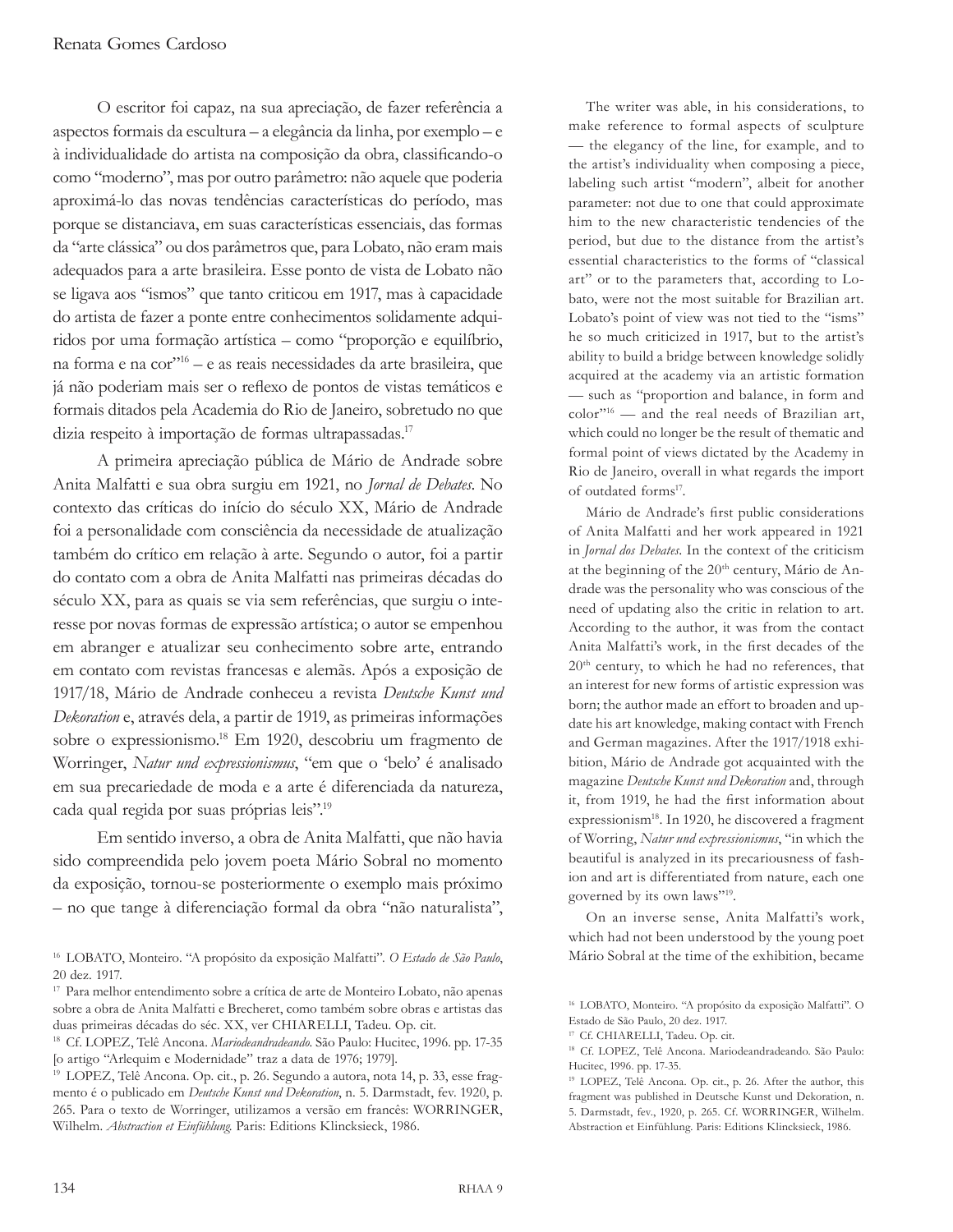O escritor foi capaz, na sua apreciação, de fazer referência a aspectos formais da escultura – a elegância da linha, por exemplo – e à individualidade do artista na composição da obra, classificando-o como "moderno", mas por outro parâmetro: não aquele que poderia aproximá-lo das novas tendências características do período, mas porque se distanciava, em suas características essenciais, das formas da "arte clássica" ou dos parâmetros que, para Lobato, não eram mais adequados para a arte brasileira. Esse ponto de vista de Lobato não se ligava aos "ismos" que tanto criticou em 1917, mas à capacidade do artista de fazer a ponte entre conhecimentos solidamente adquiridos por uma formação artística – como "proporção e equilíbrio, na forma e na cor"16 – e as reais necessidades da arte brasileira, que já não poderiam mais ser o reflexo de pontos de vistas temáticos e formais ditados pela Academia do Rio de Janeiro, sobretudo no que dizia respeito à importação de formas ultrapassadas.<sup>17</sup>

A primeira apreciação pública de Mário de Andrade sobre Anita Malfatti e sua obra surgiu em 1921, no *Jornal de Debates*. No contexto das críticas do início do século XX, Mário de Andrade foi a personalidade com consciência da necessidade de atualização também do crítico em relação à arte. Segundo o autor, foi a partir do contato com a obra de Anita Malfatti nas primeiras décadas do século XX, para as quais se via sem referências, que surgiu o interesse por novas formas de expressão artística; o autor se empenhou em abranger e atualizar seu conhecimento sobre arte, entrando em contato com revistas francesas e alemãs. Após a exposição de 1917/18, Mário de Andrade conheceu a revista *Deutsche Kunst und Dekoration* e, através dela, a partir de 1919, as primeiras informações sobre o expressionismo.<sup>18</sup> Em 1920, descobriu um fragmento de Worringer, *Natur und expressionismus*, "em que o 'belo' é analisado em sua precariedade de moda e a arte é diferenciada da natureza, cada qual regida por suas próprias leis".<sup>19</sup>

Em sentido inverso, a obra de Anita Malfatti, que não havia sido compreendida pelo jovem poeta Mário Sobral no momento da exposição, tornou-se posteriormente o exemplo mais próximo – no que tange à diferenciação formal da obra "não naturalista",

The writer was able, in his considerations, to make reference to formal aspects of sculpture — the elegancy of the line, for example, and to the artist's individuality when composing a piece, labeling such artist "modern", albeit for another parameter: not due to one that could approximate him to the new characteristic tendencies of the period, but due to the distance from the artist's essential characteristics to the forms of "classical art" or to the parameters that, according to Lobato, were not the most suitable for Brazilian art. Lobato's point of view was not tied to the "isms" he so much criticized in 1917, but to the artist's ability to build a bridge between knowledge solidly acquired at the academy via an artistic formation — such as "proportion and balance, in form and color"16 — and the real needs of Brazilian art, which could no longer be the result of thematic and formal point of views dictated by the Academy in Rio de Janeiro, overall in what regards the import of outdated forms<sup>17</sup>.

Mário de Andrade's first public considerations of Anita Malfatti and her work appeared in 1921 in *Jornal dos Debates*. In the context of the criticism at the beginning of the  $20<sup>th</sup>$  century, Mário de Andrade was the personality who was conscious of the need of updating also the critic in relation to art. According to the author, it was from the contact Anita Malfatti's work, in the first decades of the 20th century, to which he had no references, that an interest for new forms of artistic expression was born; the author made an effort to broaden and update his art knowledge, making contact with French and German magazines. After the 1917/1918 exhibition, Mário de Andrade got acquainted with the magazine *Deutsche Kunst und Dekoration* and, through it, from 1919, he had the first information about expressionism<sup>18</sup>. In 1920, he discovered a fragment of Worring, *Natur und expressionismus*, "in which the beautiful is analyzed in its precariousness of fashion and art is differentiated from nature, each one governed by its own laws"19.

On an inverse sense, Anita Malfatti's work, which had not been understood by the young poet Mário Sobral at the time of the exhibition, became

<sup>16</sup> LOBATO, Monteiro. "A propósito da exposição Malfatti". *O Estado de São Paulo*, 20 dez. 1917.

<sup>17</sup> Para melhor entendimento sobre a crítica de arte de Monteiro Lobato, não apenas sobre a obra de Anita Malfatti e Brecheret, como também sobre obras e artistas das duas primeiras décadas do séc. XX, ver CHIARELLI, Tadeu. Op. cit.

<sup>18</sup> Cf. LOPEZ, Telê Ancona. *Mariodeandradeando*. São Paulo: Hucitec, 1996. pp. 17-35 [o artigo "Arlequim e Modernidade" traz a data de 1976; 1979].

<sup>19</sup> LOPEZ, Telê Ancona. Op. cit., p. 26. Segundo a autora, nota 14, p. 33, esse fragmento é o publicado em *Deutsche Kunst und Dekoration*, n. 5. Darmstadt, fev. 1920, p. 265. Para o texto de Worringer, utilizamos a versão em francês: WORRINGER, Wilhelm. *Abstraction et Einfühlung*. Paris: Editions Klincksieck, 1986.

<sup>16</sup> LOBATO, Monteiro. "A propósito da exposição Malfatti". O Estado de São Paulo, 20 dez. 1917.

<sup>17</sup> Cf. CHIARELLI, Tadeu. Op. cit.

<sup>18</sup> Cf. LOPEZ, Telê Ancona. Mariodeandradeando. São Paulo: Hucitec, 1996. pp. 17-35.

<sup>19</sup> LOPEZ, Telê Ancona. Op. cit., p. 26. After the author, this fragment was published in Deutsche Kunst und Dekoration, n. 5. Darmstadt, fev., 1920, p. 265. Cf. WORRINGER, Wilhelm. Abstraction et Einfühlung. Paris: Editions Klincksieck, 1986.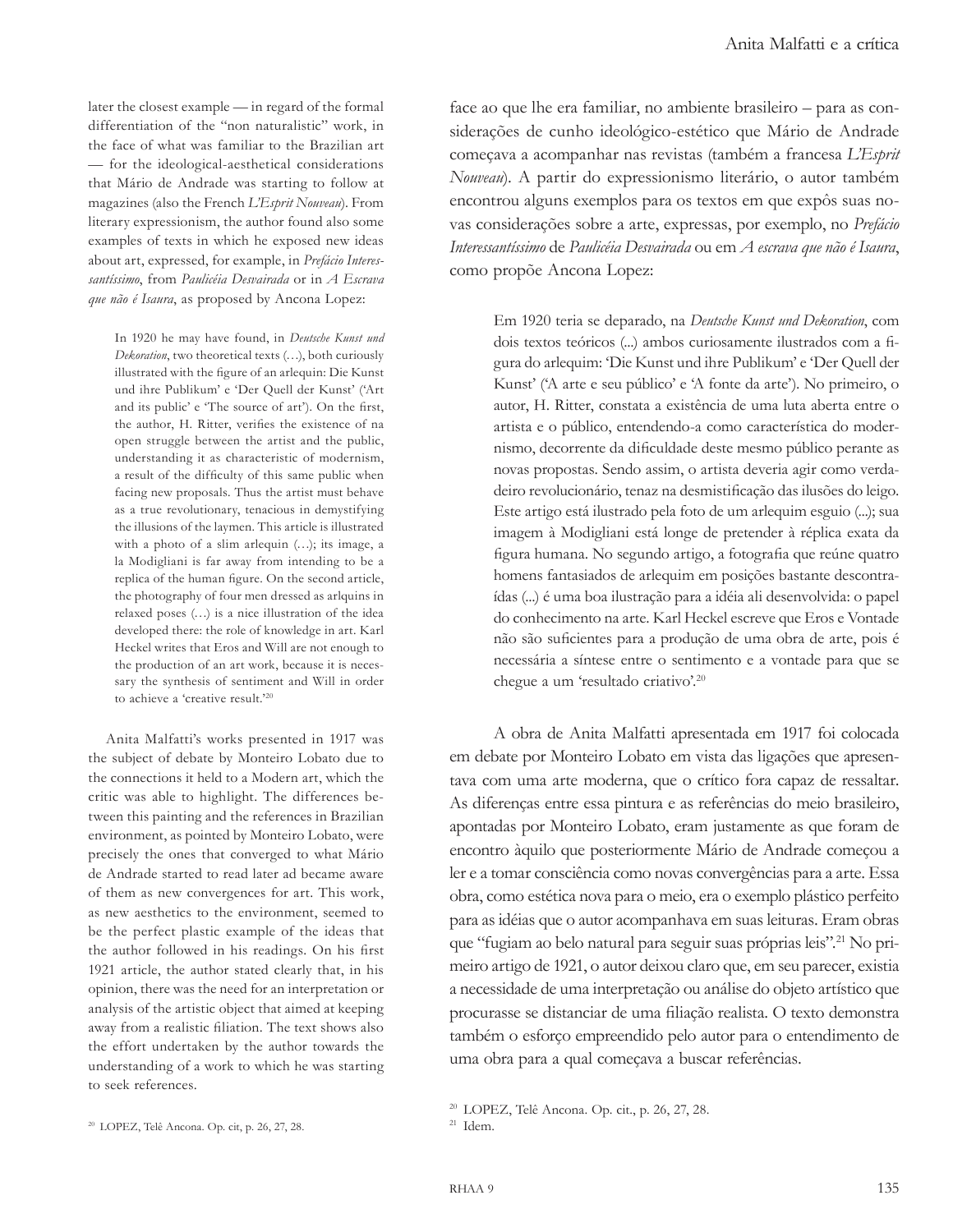later the closest example — in regard of the formal differentiation of the "non naturalistic" work, in the face of what was familiar to the Brazilian art — for the ideological-aesthetical considerations that Mário de Andrade was starting to follow at magazines (also the French *L'Esprit Nouveau*). From literary expressionism, the author found also some examples of texts in which he exposed new ideas about art, expressed, for example, in *Prefácio Interessantíssimo*, from *Paulicéia Desvairada* or in *A Escrava que não é Isaura*, as proposed by Ancona Lopez:

In 1920 he may have found, in *Deutsche Kunst und Dekoration*, two theoretical texts (…), both curiously illustrated with the figure of an arlequin: Die Kunst und ihre Publikum' e 'Der Quell der Kunst' ('Art and its public' e 'The source of art'). On the first, the author, H. Ritter, verifies the existence of na open struggle between the artist and the public, understanding it as characteristic of modernism, a result of the difficulty of this same public when facing new proposals. Thus the artist must behave as a true revolutionary, tenacious in demystifying the illusions of the laymen. This article is illustrated with a photo of a slim arlequin (…); its image, a la Modigliani is far away from intending to be a replica of the human figure. On the second article, the photography of four men dressed as arlquins in relaxed poses (…) is a nice illustration of the idea developed there: the role of knowledge in art. Karl Heckel writes that Eros and Will are not enough to the production of an art work, because it is necessary the synthesis of sentiment and Will in order to achieve a 'creative result.'<sup>20</sup>

Anita Malfatti's works presented in 1917 was the subject of debate by Monteiro Lobato due to the connections it held to a Modern art, which the critic was able to highlight. The differences between this painting and the references in Brazilian environment, as pointed by Monteiro Lobato, were precisely the ones that converged to what Mário de Andrade started to read later ad became aware of them as new convergences for art. This work, as new aesthetics to the environment, seemed to be the perfect plastic example of the ideas that the author followed in his readings. On his first 1921 article, the author stated clearly that, in his opinion, there was the need for an interpretation or analysis of the artistic object that aimed at keeping away from a realistic filiation. The text shows also the effort undertaken by the author towards the understanding of a work to which he was starting to seek references.

face ao que lhe era familiar, no ambiente brasileiro – para as considerações de cunho ideológico-estético que Mário de Andrade começava a acompanhar nas revistas (também a francesa *L'Esprit Nouveau*). A partir do expressionismo literário, o autor também encontrou alguns exemplos para os textos em que expôs suas novas considerações sobre a arte, expressas, por exemplo, no *Prefácio Interessantíssimo* de *Paulicéia Desvairada* ou em *A escrava que não é Isaura*, como propõe Ancona Lopez:

Em 1920 teria se deparado, na *Deutsche Kunst und Dekoration*, com dois textos teóricos (...) ambos curiosamente ilustrados com a figura do arlequim: 'Die Kunst und ihre Publikum' e 'Der Quell der Kunst' ('A arte e seu público' e 'A fonte da arte'). No primeiro, o autor, H. Ritter, constata a existência de uma luta aberta entre o artista e o público, entendendo-a como característica do modernismo, decorrente da dificuldade deste mesmo público perante as novas propostas. Sendo assim, o artista deveria agir como verdadeiro revolucionário, tenaz na desmistificação das ilusões do leigo. Este artigo está ilustrado pela foto de um arlequim esguio (...); sua imagem à Modigliani está longe de pretender à réplica exata da figura humana. No segundo artigo, a fotografia que reúne quatro homens fantasiados de arlequim em posições bastante descontraídas (...) é uma boa ilustração para a idéia ali desenvolvida: o papel do conhecimento na arte. Karl Heckel escreve que Eros e Vontade não são suficientes para a produção de uma obra de arte, pois é necessária a síntese entre o sentimento e a vontade para que se chegue a um 'resultado criativo'.<sup>20</sup>

A obra de Anita Malfatti apresentada em 1917 foi colocada em debate por Monteiro Lobato em vista das ligações que apresentava com uma arte moderna, que o crítico fora capaz de ressaltar. As diferenças entre essa pintura e as referências do meio brasileiro, apontadas por Monteiro Lobato, eram justamente as que foram de encontro àquilo que posteriormente Mário de Andrade começou a ler e a tomar consciência como novas convergências para a arte. Essa obra, como estética nova para o meio, era o exemplo plástico perfeito para as idéias que o autor acompanhava em suas leituras. Eram obras que "fugiam ao belo natural para seguir suas próprias leis".<sup>21</sup> No primeiro artigo de 1921, o autor deixou claro que, em seu parecer, existia a necessidade de uma interpretação ou análise do objeto artístico que procurasse se distanciar de uma filiação realista. O texto demonstra também o esforço empreendido pelo autor para o entendimento de uma obra para a qual começava a buscar referências.

<sup>20</sup> LOPEZ, Telê Ancona. Op. cit., p. 26, 27, 28.

<sup>20</sup> LOPEZ, Telê Ancona. Op. cit, p. 26, 27, 28.

 $21$  Idem.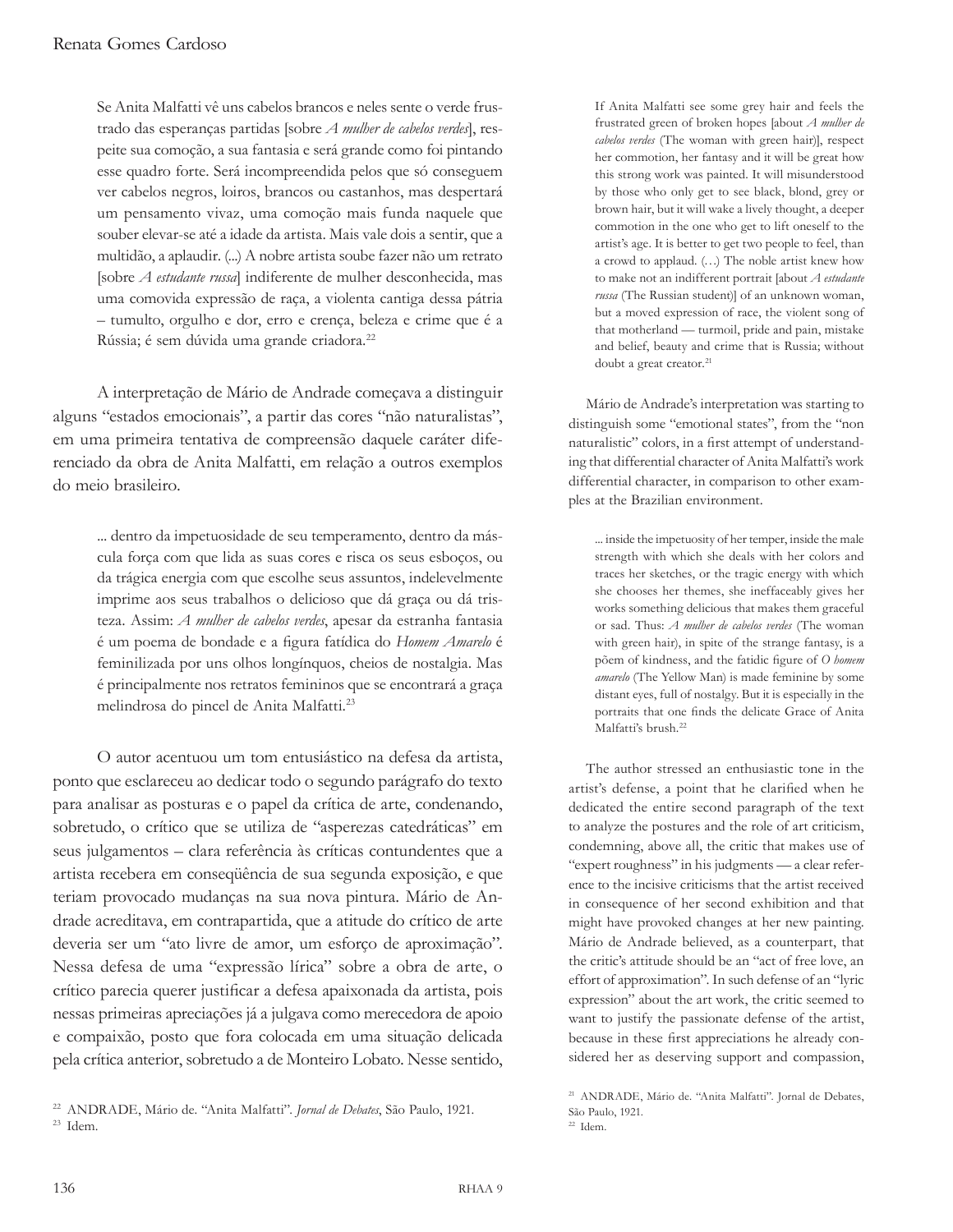Se Anita Malfatti vê uns cabelos brancos e neles sente o verde frustrado das esperanças partidas [sobre *A mulher de cabelos verdes*], respeite sua comoção, a sua fantasia e será grande como foi pintando esse quadro forte. Será incompreendida pelos que só conseguem ver cabelos negros, loiros, brancos ou castanhos, mas despertará um pensamento vivaz, uma comoção mais funda naquele que souber elevar-se até a idade da artista. Mais vale dois a sentir, que a multidão, a aplaudir. (...) A nobre artista soube fazer não um retrato [sobre *A estudante russa*] indiferente de mulher desconhecida, mas uma comovida expressão de raça, a violenta cantiga dessa pátria – tumulto, orgulho e dor, erro e crença, beleza e crime que é a Rússia; é sem dúvida uma grande criadora.<sup>22</sup>

A interpretação de Mário de Andrade começava a distinguir alguns "estados emocionais", a partir das cores "não naturalistas", em uma primeira tentativa de compreensão daquele caráter diferenciado da obra de Anita Malfatti, em relação a outros exemplos do meio brasileiro.

... dentro da impetuosidade de seu temperamento, dentro da máscula força com que lida as suas cores e risca os seus esboços, ou da trágica energia com que escolhe seus assuntos, indelevelmente imprime aos seus trabalhos o delicioso que dá graça ou dá tristeza. Assim: *A mulher de cabelos verdes*, apesar da estranha fantasia é um poema de bondade e a figura fatídica do *Homem Amarelo* é feminilizada por uns olhos longínquos, cheios de nostalgia. Mas é principalmente nos retratos femininos que se encontrará a graça melindrosa do pincel de Anita Malfatti.<sup>23</sup>

O autor acentuou um tom entusiástico na defesa da artista, ponto que esclareceu ao dedicar todo o segundo parágrafo do texto para analisar as posturas e o papel da crítica de arte, condenando, sobretudo, o crítico que se utiliza de "asperezas catedráticas" em seus julgamentos – clara referência às críticas contundentes que a artista recebera em conseqüência de sua segunda exposição, e que teriam provocado mudanças na sua nova pintura. Mário de Andrade acreditava, em contrapartida, que a atitude do crítico de arte deveria ser um "ato livre de amor, um esforço de aproximação". Nessa defesa de uma "expressão lírica" sobre a obra de arte, o crítico parecia querer justificar a defesa apaixonada da artista, pois nessas primeiras apreciações já a julgava como merecedora de apoio e compaixão, posto que fora colocada em uma situação delicada pela crítica anterior, sobretudo a de Monteiro Lobato. Nesse sentido, If Anita Malfatti see some grey hair and feels the frustrated green of broken hopes [about *A mulher de cabelos verdes* (The woman with green hair)], respect her commotion, her fantasy and it will be great how this strong work was painted. It will misunderstood by those who only get to see black, blond, grey or brown hair, but it will wake a lively thought, a deeper commotion in the one who get to lift oneself to the artist's age. It is better to get two people to feel, than a crowd to applaud. (…) The noble artist knew how to make not an indifferent portrait [about *A estudante russa* (The Russian student)] of an unknown woman, but a moved expression of race, the violent song of that motherland — turmoil, pride and pain, mistake and belief, beauty and crime that is Russia; without doubt a great creator.<sup>21</sup>

Mário de Andrade's interpretation was starting to distinguish some "emotional states", from the "non naturalistic" colors, in a first attempt of understanding that differential character of Anita Malfatti's work differential character, in comparison to other examples at the Brazilian environment.

... inside the impetuosity of her temper, inside the male strength with which she deals with her colors and traces her sketches, or the tragic energy with which she chooses her themes, she ineffaceably gives her works something delicious that makes them graceful or sad. Thus: *A mulher de cabelos verdes* (The woman with green hair), in spite of the strange fantasy, is a põem of kindness, and the fatidic figure of *O homem amarelo* (The Yellow Man) is made feminine by some distant eyes, full of nostalgy. But it is especially in the portraits that one finds the delicate Grace of Anita Malfatti's brush.<sup>22</sup>

The author stressed an enthusiastic tone in the artist's defense, a point that he clarified when he dedicated the entire second paragraph of the text to analyze the postures and the role of art criticism, condemning, above all, the critic that makes use of "expert roughness" in his judgments — a clear reference to the incisive criticisms that the artist received in consequence of her second exhibition and that might have provoked changes at her new painting. Mário de Andrade believed, as a counterpart, that the critic's attitude should be an "act of free love, an effort of approximation". In such defense of an "lyric expression" about the art work, the critic seemed to want to justify the passionate defense of the artist, because in these first appreciations he already considered her as deserving support and compassion,

<sup>22</sup> ANDRADE, Mário de. "Anita Malfatti". *Jornal de Debates*, São Paulo, 1921. <sup>23</sup> Idem.

<sup>21</sup> ANDRADE, Mário de. "Anita Malfatti". Jornal de Debates, São Paulo, 1921. <sup>22</sup> Idem.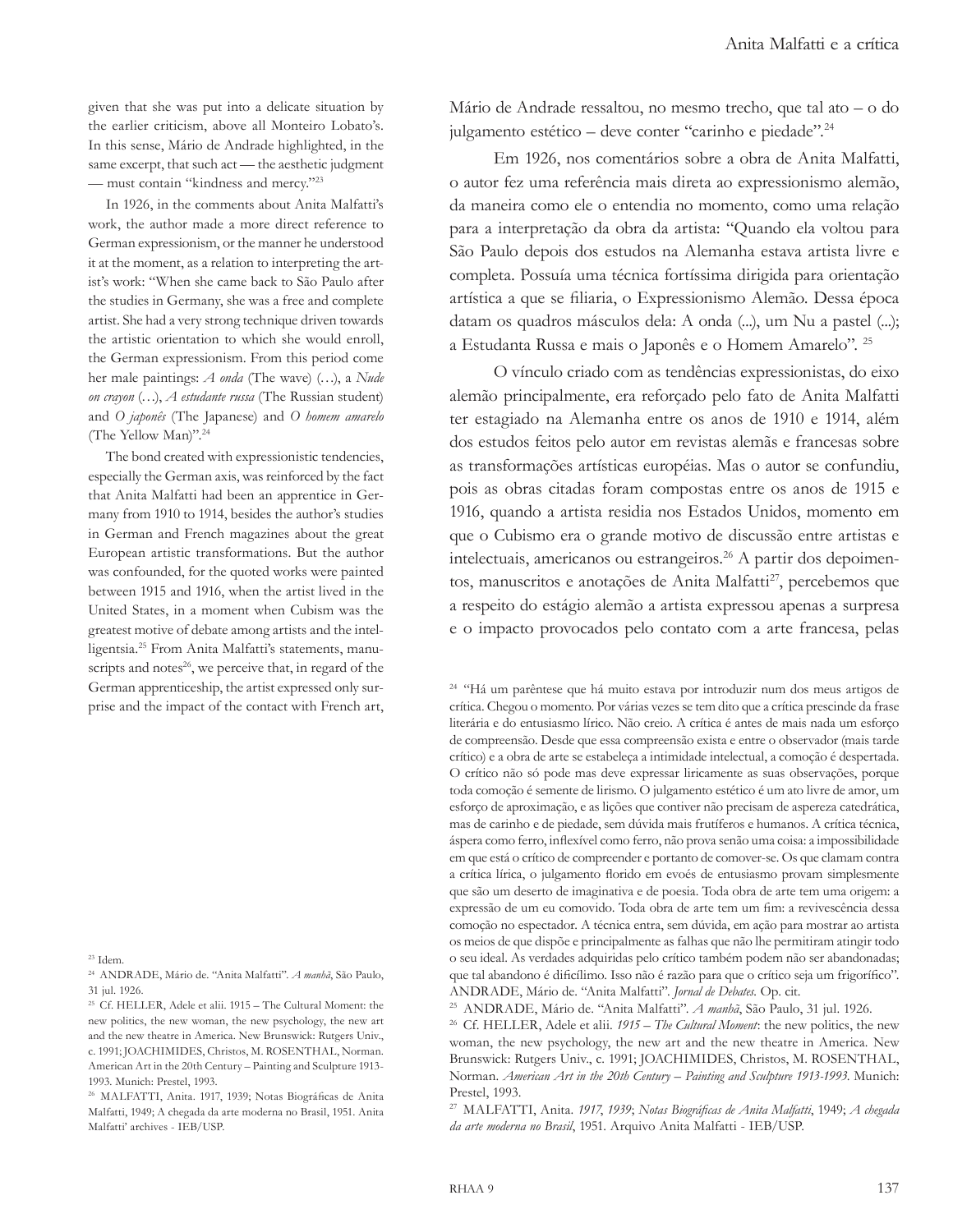given that she was put into a delicate situation by the earlier criticism, above all Monteiro Lobato's. In this sense, Mário de Andrade highlighted, in the same excerpt, that such act — the aesthetic judgment — must contain "kindness and mercy."<sup>23</sup>

In 1926, in the comments about Anita Malfatti's work, the author made a more direct reference to German expressionism, or the manner he understood it at the moment, as a relation to interpreting the artist's work: "When she came back to São Paulo after the studies in Germany, she was a free and complete artist. She had a very strong technique driven towards the artistic orientation to which she would enroll, the German expressionism. From this period come her male paintings: *A onda* (The wave) (…), a *Nude on crayon* (…), *A estudante russa* (The Russian student) and *O japonês* (The Japanese) and *O homem amarelo* (The Yellow Man)".<sup>24</sup>

The bond created with expressionistic tendencies, especially the German axis, was reinforced by the fact that Anita Malfatti had been an apprentice in Germany from 1910 to 1914, besides the author's studies in German and French magazines about the great European artistic transformations. But the author was confounded, for the quoted works were painted between 1915 and 1916, when the artist lived in the United States, in a moment when Cubism was the greatest motive of debate among artists and the intelligentsia.25 From Anita Malfatti's statements, manuscripts and notes<sup>26</sup>, we perceive that, in regard of the German apprenticeship, the artist expressed only surprise and the impact of the contact with French art,

<sup>23</sup> Idem.

<sup>24</sup> ANDRADE, Mário de. "Anita Malfatti". *A manhã*, São Paulo, 31 jul. 1926.

<sup>25</sup> Cf. HELLER, Adele et alii. 1915 – The Cultural Moment: the new politics, the new woman, the new psychology, the new art and the new theatre in America. New Brunswick: Rutgers Univ., c. 1991; JOACHIMIDES, Christos, M. ROSENTHAL, Norman. American Art in the 20th Century – Painting and Sculpture 1913- 1993. Munich: Prestel, 1993.

<sup>26</sup> MALFATTI, Anita. 1917, 1939; Notas Biográficas de Anita Malfatti, 1949; A chegada da arte moderna no Brasil, 1951. Anita Malfatti' archives - IEB/USP.

Mário de Andrade ressaltou, no mesmo trecho, que tal ato – o do julgamento estético – deve conter "carinho e piedade".<sup>24</sup>

Em 1926, nos comentários sobre a obra de Anita Malfatti, o autor fez uma referência mais direta ao expressionismo alemão, da maneira como ele o entendia no momento, como uma relação para a interpretação da obra da artista: "Quando ela voltou para São Paulo depois dos estudos na Alemanha estava artista livre e completa. Possuía uma técnica fortíssima dirigida para orientação artística a que se filiaria, o Expressionismo Alemão. Dessa época datam os quadros másculos dela: A onda (...), um Nu a pastel (...); a Estudanta Russa e mais o Japonês e o Homem Amarelo". 25

O vínculo criado com as tendências expressionistas, do eixo alemão principalmente, era reforçado pelo fato de Anita Malfatti ter estagiado na Alemanha entre os anos de 1910 e 1914, além dos estudos feitos pelo autor em revistas alemãs e francesas sobre as transformações artísticas européias. Mas o autor se confundiu, pois as obras citadas foram compostas entre os anos de 1915 e 1916, quando a artista residia nos Estados Unidos, momento em que o Cubismo era o grande motivo de discussão entre artistas e intelectuais, americanos ou estrangeiros.<sup>26</sup> A partir dos depoimentos, manuscritos e anotações de Anita Malfatti<sup>27</sup>, percebemos que a respeito do estágio alemão a artista expressou apenas a surpresa e o impacto provocados pelo contato com a arte francesa, pelas

<sup>24</sup> "Há um parêntese que há muito estava por introduzir num dos meus artigos de crítica. Chegou o momento. Por várias vezes se tem dito que a crítica prescinde da frase literária e do entusiasmo lírico. Não creio. A crítica é antes de mais nada um esforço de compreensão. Desde que essa compreensão exista e entre o observador (mais tarde crítico) e a obra de arte se estabeleça a intimidade intelectual, a comoção é despertada. O crítico não só pode mas deve expressar liricamente as suas observações, porque toda comoção é semente de lirismo. O julgamento estético é um ato livre de amor, um esforço de aproximação, e as lições que contiver não precisam de aspereza catedrática, mas de carinho e de piedade, sem dúvida mais frutíferos e humanos. A crítica técnica, áspera como ferro, inflexível como ferro, não prova senão uma coisa: a impossibilidade em que está o crítico de compreender e portanto de comover-se. Os que clamam contra a crítica lírica, o julgamento florido em evoés de entusiasmo provam simplesmente que são um deserto de imaginativa e de poesia. Toda obra de arte tem uma origem: a expressão de um eu comovido. Toda obra de arte tem um fim: a revivescência dessa comoção no espectador. A técnica entra, sem dúvida, em ação para mostrar ao artista os meios de que dispõe e principalmente as falhas que não lhe permitiram atingir todo o seu ideal. As verdades adquiridas pelo crítico também podem não ser abandonadas; que tal abandono é dificílimo. Isso não é razão para que o crítico seja um frigorífico". ANDRADE, Mário de. "Anita Malfatti". *Jornal de Debates.* Op. cit. 25 ANDRADE, Mário de. "Anita Malfatti". *A manhã*, São Paulo, 31 jul. 1926.

<sup>26</sup> Cf. HELLER, Adele et alii. *1915 – The Cultural Moment*: the new politics, the new woman, the new psychology, the new art and the new theatre in America*.* New Brunswick: Rutgers Univ., c. 1991; JOACHIMIDES, Christos, M. ROSENTHAL, Norman. *American Art in the 20th Century – Painting and Sculpture 1913-1993*. Munich: Prestel, 1993.

<sup>27</sup> MALFATTI, Anita. *1917*, *1939*; *Notas Biográficas de Anita Malfatti*, 1949; *A chegada da arte moderna no Brasil*, 1951. Arquivo Anita Malfatti - IEB/USP.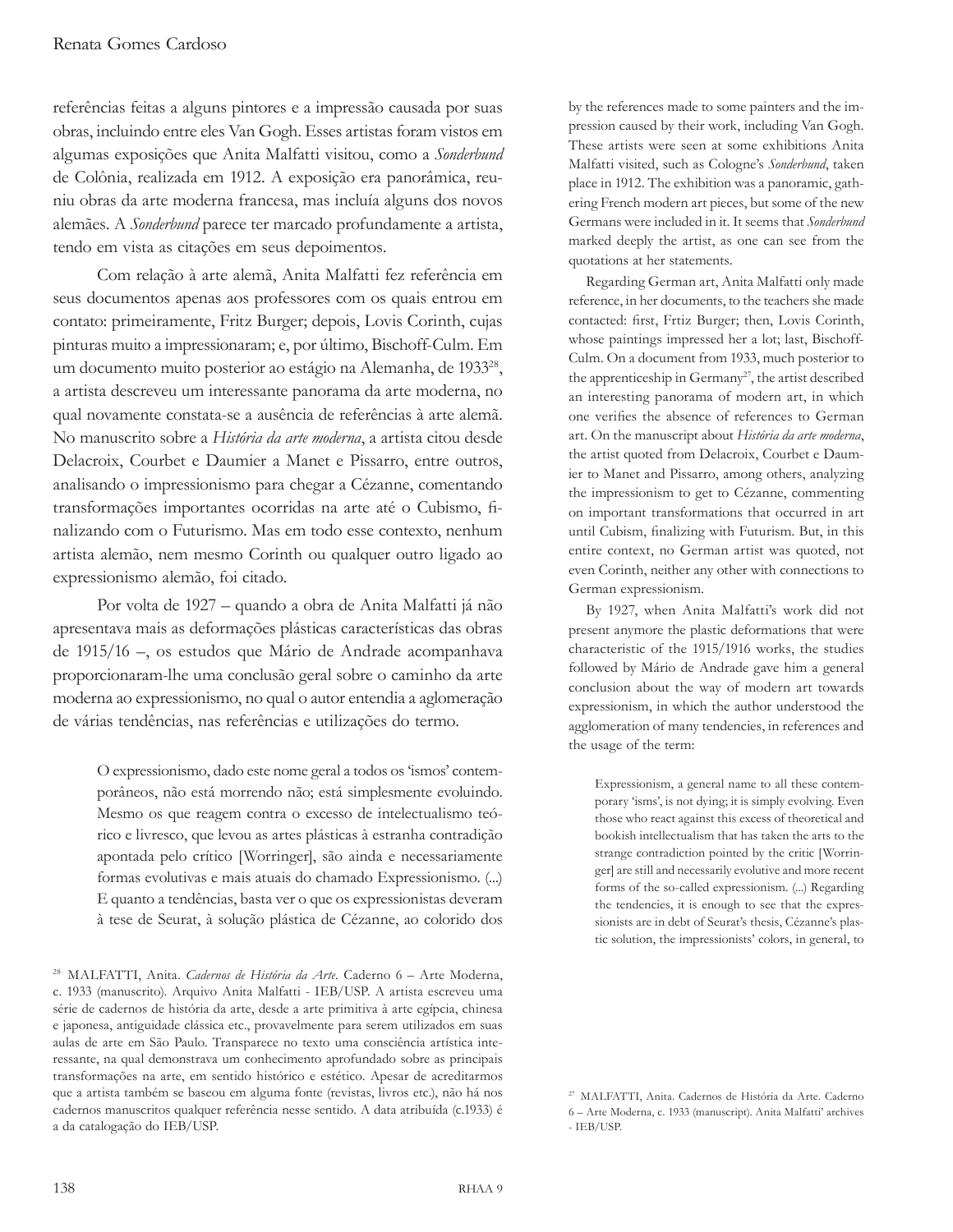referências feitas a alguns pintores e a impressão causada por suas obras, incluindo entre eles Van Gogh. Esses artistas foram vistos em algumas exposições que Anita Malfatti visitou, como a *Sonderbund* de Colônia, realizada em 1912. A exposição era panorâmica, reuniu obras da arte moderna francesa, mas incluía alguns dos novos alemães. A *Sonderbund* parece ter marcado profundamente a artista, tendo em vista as citações em seus depoimentos.

Com relação à arte alemã, Anita Malfatti fez referência em seus documentos apenas aos professores com os quais entrou em contato: primeiramente, Fritz Burger; depois, Lovis Corinth, cujas pinturas muito a impressionaram; e, por último, Bischoff-Culm. Em um documento muito posterior ao estágio na Alemanha, de 1933<sup>28</sup>, a artista descreveu um interessante panorama da arte moderna, no qual novamente constata-se a ausência de referências à arte alemã. No manuscrito sobre a *História da arte moderna*, a artista citou desde Delacroix, Courbet e Daumier a Manet e Pissarro, entre outros, analisando o impressionismo para chegar a Cézanne, comentando transformações importantes ocorridas na arte até o Cubismo, finalizando com o Futurismo. Mas em todo esse contexto, nenhum artista alemão, nem mesmo Corinth ou qualquer outro ligado ao expressionismo alemão, foi citado.

Por volta de 1927 – quando a obra de Anita Malfatti já não apresentava mais as deformações plásticas características das obras de 1915/16 –, os estudos que Mário de Andrade acompanhava proporcionaram-lhe uma conclusão geral sobre o caminho da arte moderna ao expressionismo, no qual o autor entendia a aglomeração de várias tendências, nas referências e utilizações do termo.

O expressionismo, dado este nome geral a todos os 'ismos' contemporâneos, não está morrendo não; está simplesmente evoluindo. Mesmo os que reagem contra o excesso de intelectualismo teórico e livresco, que levou as artes plásticas à estranha contradição apontada pelo crítico [Worringer], são ainda e necessariamente formas evolutivas e mais atuais do chamado Expressionismo. (...) E quanto a tendências, basta ver o que os expressionistas deveram à tese de Seurat, à solução plástica de Cézanne, ao colorido dos by the references made to some painters and the impression caused by their work, including Van Gogh. These artists were seen at some exhibitions Anita Malfatti visited, such as Cologne's *Sonderbund*, taken place in 1912. The exhibition was a panoramic, gathering French modern art pieces, but some of the new Germans were included in it. It seems that *Sonderbund* marked deeply the artist, as one can see from the quotations at her statements.

Regarding German art, Anita Malfatti only made reference, in her documents, to the teachers she made contacted: first, Frtiz Burger; then, Lovis Corinth, whose paintings impressed her a lot; last, Bischoff-Culm. On a document from 1933, much posterior to the apprenticeship in Germany<sup>27</sup>, the artist described an interesting panorama of modern art, in which one verifies the absence of references to German art. On the manuscript about *História da arte moderna*, the artist quoted from Delacroix, Courbet e Daumier to Manet and Pissarro, among others, analyzing the impressionism to get to Cézanne, commenting on important transformations that occurred in art until Cubism, finalizing with Futurism. But, in this entire context, no German artist was quoted, not even Corinth, neither any other with connections to German expressionism.

By 1927, when Anita Malfatti's work did not present anymore the plastic deformations that were characteristic of the 1915/1916 works, the studies followed by Mário de Andrade gave him a general conclusion about the way of modern art towards expressionism, in which the author understood the agglomeration of many tendencies, in references and the usage of the term:

Expressionism, a general name to all these contemporary 'isms', is not dying; it is simply evolving. Even those who react against this excess of theoretical and bookish intellectualism that has taken the arts to the strange contradiction pointed by the critic [Worringer] are still and necessarily evolutive and more recent forms of the so-called expressionism. (...) Regarding the tendencies, it is enough to see that the expressionists are in debt of Seurat's thesis, Cézanne's plastic solution, the impressionists' colors, in general, to

<sup>28</sup> MALFATTI, Anita. *Cadernos de História da Arte.* Caderno 6 – Arte Moderna, c. 1933 (manuscrito). Arquivo Anita Malfatti - IEB/USP. A artista escreveu uma série de cadernos de história da arte, desde a arte primitiva à arte egípcia, chinesa e japonesa, antiguidade clássica etc., provavelmente para serem utilizados em suas aulas de arte em São Paulo. Transparece no texto uma consciência artística interessante, na qual demonstrava um conhecimento aprofundado sobre as principais transformações na arte, em sentido histórico e estético. Apesar de acreditarmos que a artista também se baseou em alguma fonte (revistas, livros etc.), não há nos cadernos manuscritos qualquer referência nesse sentido. A data atribuída (c.1933) é a da catalogação do IEB/USP.

<sup>27</sup> MALFATTI, Anita. Cadernos de História da Arte. Caderno 6 – Arte Moderna, c. 1933 (manuscript). Anita Malfatti' archives - IEB/USP.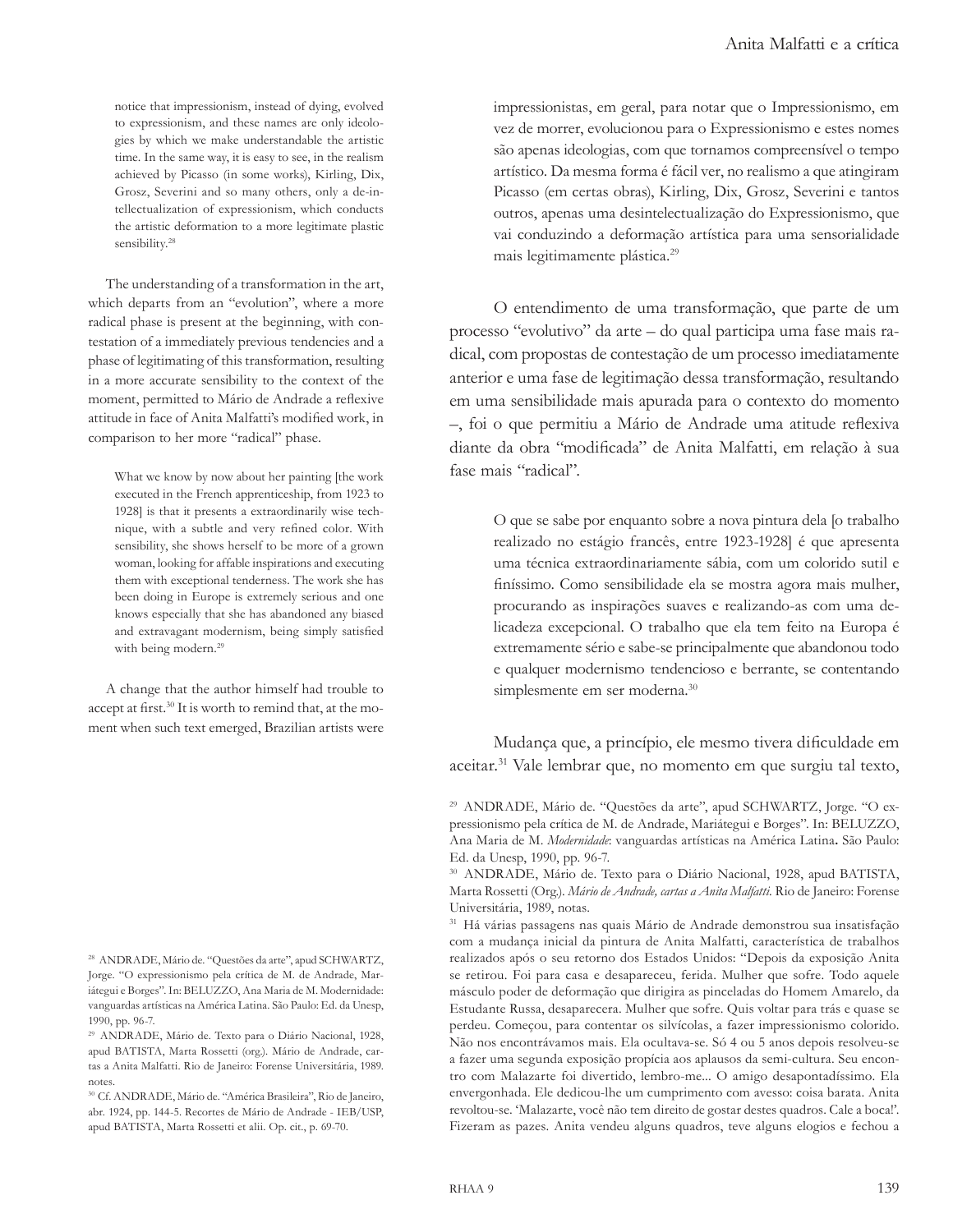notice that impressionism, instead of dying, evolved to expressionism, and these names are only ideologies by which we make understandable the artistic time. In the same way, it is easy to see, in the realism achieved by Picasso (in some works), Kirling, Dix, Grosz, Severini and so many others, only a de-intellectualization of expressionism, which conducts the artistic deformation to a more legitimate plastic sensibility.<sup>28</sup>

The understanding of a transformation in the art, which departs from an "evolution", where a more radical phase is present at the beginning, with contestation of a immediately previous tendencies and a phase of legitimating of this transformation, resulting in a more accurate sensibility to the context of the moment, permitted to Mário de Andrade a reflexive attitude in face of Anita Malfatti's modified work, in comparison to her more "radical" phase.

What we know by now about her painting [the work executed in the French apprenticeship, from 1923 to 1928] is that it presents a extraordinarily wise technique, with a subtle and very refined color. With sensibility, she shows herself to be more of a grown woman, looking for affable inspirations and executing them with exceptional tenderness. The work she has been doing in Europe is extremely serious and one knows especially that she has abandoned any biased and extravagant modernism, being simply satisfied with being modern.<sup>29</sup>

A change that the author himself had trouble to accept at first.30 It is worth to remind that, at the moment when such text emerged, Brazilian artists were

impressionistas, em geral, para notar que o Impressionismo, em vez de morrer, evolucionou para o Expressionismo e estes nomes são apenas ideologias, com que tornamos compreensível o tempo artístico. Da mesma forma é fácil ver, no realismo a que atingiram Picasso (em certas obras), Kirling, Dix, Grosz, Severini e tantos outros, apenas uma desintelectualização do Expressionismo, que vai conduzindo a deformação artística para uma sensorialidade mais legitimamente plástica.<sup>29</sup>

O entendimento de uma transformação, que parte de um processo "evolutivo" da arte – do qual participa uma fase mais radical, com propostas de contestação de um processo imediatamente anterior e uma fase de legitimação dessa transformação, resultando em uma sensibilidade mais apurada para o contexto do momento –, foi o que permitiu a Mário de Andrade uma atitude reflexiva diante da obra "modificada" de Anita Malfatti, em relação à sua fase mais "radical".

O que se sabe por enquanto sobre a nova pintura dela [o trabalho realizado no estágio francês, entre 1923-1928] é que apresenta uma técnica extraordinariamente sábia, com um colorido sutil e finíssimo. Como sensibilidade ela se mostra agora mais mulher, procurando as inspirações suaves e realizando-as com uma delicadeza excepcional. O trabalho que ela tem feito na Europa é extremamente sério e sabe-se principalmente que abandonou todo e qualquer modernismo tendencioso e berrante, se contentando simplesmente em ser moderna.<sup>30</sup>

Mudança que, a princípio, ele mesmo tivera dificuldade em aceitar.<sup>31</sup> Vale lembrar que, no momento em que surgiu tal texto,

<sup>28</sup> ANDRADE, Mário de. "Questões da arte", apud SCHWARTZ, Jorge. "O expressionismo pela crítica de M. de Andrade, Mariátegui e Borges". In: BELUZZO, Ana Maria de M. Modernidade: vanguardas artísticas na América Latina. São Paulo: Ed. da Unesp, 1990, pp. 96-7.

<sup>29</sup> ANDRADE, Mário de. Texto para o Diário Nacional, 1928, apud BATISTA, Marta Rossetti (org.). Mário de Andrade, cartas a Anita Malfatti. Rio de Janeiro: Forense Universitária, 1989. notes.

<sup>30</sup> Cf. ANDRADE, Mário de. "América Brasileira", Rio de Janeiro, abr. 1924, pp. 144-5. Recortes de Mário de Andrade - IEB/USP, apud BATISTA, Marta Rossetti et alii. Op. cit., p. 69-70.

<sup>29</sup> ANDRADE, Mário de. "Questões da arte", apud SCHWARTZ, Jorge. "O expressionismo pela crítica de M. de Andrade, Mariátegui e Borges". In: BELUZZO, Ana Maria de M. *Modernidade*: vanguardas artísticas na América Latina**.** São Paulo: Ed. da Unesp, 1990, pp. 96-7.

<sup>30</sup> ANDRADE, Mário de. Texto para o Diário Nacional, 1928, apud BATISTA, Marta Rossetti (Org.). *Mário de Andrade, cartas a Anita Malfatti.* Rio de Janeiro: Forense Universitária, 1989, notas.

<sup>31</sup> Há várias passagens nas quais Mário de Andrade demonstrou sua insatisfação com a mudança inicial da pintura de Anita Malfatti, característica de trabalhos realizados após o seu retorno dos Estados Unidos: "Depois da exposição Anita se retirou. Foi para casa e desapareceu, ferida. Mulher que sofre. Todo aquele másculo poder de deformação que dirigira as pinceladas do Homem Amarelo, da Estudante Russa, desaparecera. Mulher que sofre. Quis voltar para trás e quase se perdeu. Começou, para contentar os silvícolas, a fazer impressionismo colorido. Não nos encontrávamos mais. Ela ocultava-se. Só 4 ou 5 anos depois resolveu-se a fazer uma segunda exposição propícia aos aplausos da semi-cultura. Seu encontro com Malazarte foi divertido, lembro-me... O amigo desapontadíssimo. Ela envergonhada. Ele dedicou-lhe um cumprimento com avesso: coisa barata. Anita revoltou-se. 'Malazarte, você não tem direito de gostar destes quadros. Cale a boca!'. Fizeram as pazes. Anita vendeu alguns quadros, teve alguns elogios e fechou a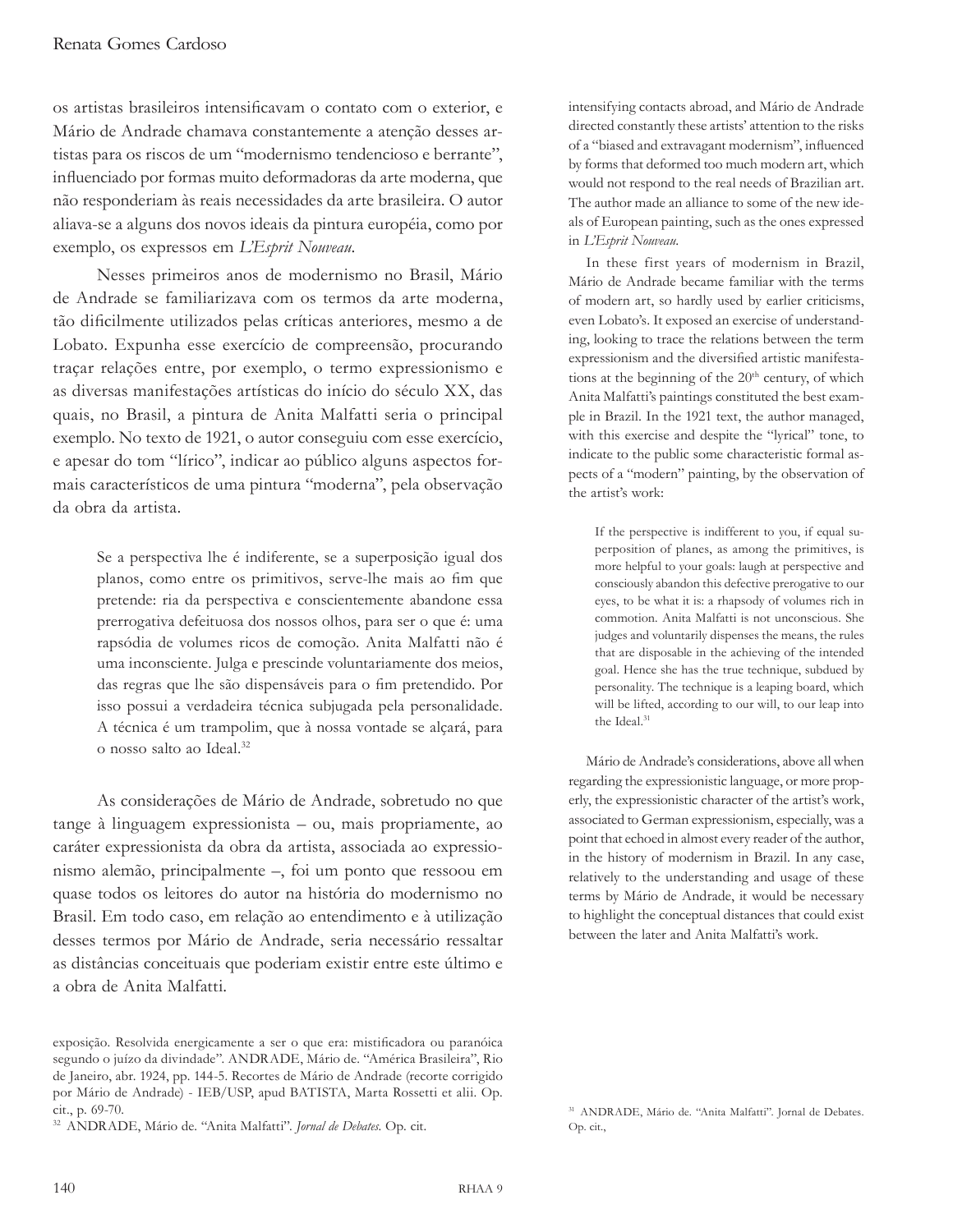os artistas brasileiros intensificavam o contato com o exterior, e Mário de Andrade chamava constantemente a atenção desses artistas para os riscos de um "modernismo tendencioso e berrante", influenciado por formas muito deformadoras da arte moderna, que não responderiam às reais necessidades da arte brasileira. O autor aliava-se a alguns dos novos ideais da pintura européia, como por exemplo, os expressos em *L'Esprit Nouveau*.

Nesses primeiros anos de modernismo no Brasil, Mário de Andrade se familiarizava com os termos da arte moderna, tão dificilmente utilizados pelas críticas anteriores, mesmo a de Lobato. Expunha esse exercício de compreensão, procurando traçar relações entre, por exemplo, o termo expressionismo e as diversas manifestações artísticas do início do século XX, das quais, no Brasil, a pintura de Anita Malfatti seria o principal exemplo. No texto de 1921, o autor conseguiu com esse exercício, e apesar do tom "lírico", indicar ao público alguns aspectos formais característicos de uma pintura "moderna", pela observação da obra da artista.

Se a perspectiva lhe é indiferente, se a superposição igual dos planos, como entre os primitivos, serve-lhe mais ao fim que pretende: ria da perspectiva e conscientemente abandone essa prerrogativa defeituosa dos nossos olhos, para ser o que é: uma rapsódia de volumes ricos de comoção. Anita Malfatti não é uma inconsciente. Julga e prescinde voluntariamente dos meios, das regras que lhe são dispensáveis para o fim pretendido. Por isso possui a verdadeira técnica subjugada pela personalidade. A técnica é um trampolim, que à nossa vontade se alçará, para o nosso salto ao Ideal.<sup>32</sup>

As considerações de Mário de Andrade, sobretudo no que tange à linguagem expressionista – ou, mais propriamente, ao caráter expressionista da obra da artista, associada ao expressionismo alemão, principalmente –, foi um ponto que ressoou em quase todos os leitores do autor na história do modernismo no Brasil. Em todo caso, em relação ao entendimento e à utilização desses termos por Mário de Andrade, seria necessário ressaltar as distâncias conceituais que poderiam existir entre este último e a obra de Anita Malfatti.

intensifying contacts abroad, and Mário de Andrade directed constantly these artists' attention to the risks of a "biased and extravagant modernism", influenced by forms that deformed too much modern art, which would not respond to the real needs of Brazilian art. The author made an alliance to some of the new ideals of European painting, such as the ones expressed in *L'Esprit Nouveau*.

In these first years of modernism in Brazil, Mário de Andrade became familiar with the terms of modern art, so hardly used by earlier criticisms, even Lobato's. It exposed an exercise of understanding, looking to trace the relations between the term expressionism and the diversified artistic manifestations at the beginning of the 20<sup>th</sup> century, of which Anita Malfatti's paintings constituted the best example in Brazil. In the 1921 text, the author managed, with this exercise and despite the "lyrical" tone, to indicate to the public some characteristic formal aspects of a "modern" painting, by the observation of the artist's work:

If the perspective is indifferent to you, if equal superposition of planes, as among the primitives, is more helpful to your goals: laugh at perspective and consciously abandon this defective prerogative to our eyes, to be what it is: a rhapsody of volumes rich in commotion. Anita Malfatti is not unconscious. She judges and voluntarily dispenses the means, the rules that are disposable in the achieving of the intended goal. Hence she has the true technique, subdued by personality. The technique is a leaping board, which will be lifted, according to our will, to our leap into the Ideal.<sup>31</sup>

Mário de Andrade's considerations, above all when regarding the expressionistic language, or more properly, the expressionistic character of the artist's work, associated to German expressionism, especially, was a point that echoed in almost every reader of the author, in the history of modernism in Brazil. In any case, relatively to the understanding and usage of these terms by Mário de Andrade, it would be necessary to highlight the conceptual distances that could exist between the later and Anita Malfatti's work.

exposição. Resolvida energicamente a ser o que era: mistificadora ou paranóica segundo o juízo da divindade". ANDRADE, Mário de. "América Brasileira", Rio de Janeiro, abr. 1924, pp. 144-5. Recortes de Mário de Andrade (recorte corrigido por Mário de Andrade) - IEB/USP, apud BATISTA, Marta Rossetti et alii. Op. cit., p. 69-70.

<sup>32</sup> ANDRADE, Mário de. "Anita Malfatti". *Jornal de Debates*. Op. cit.

<sup>31</sup> ANDRADE, Mário de. "Anita Malfatti". Jornal de Debates. Op. cit.,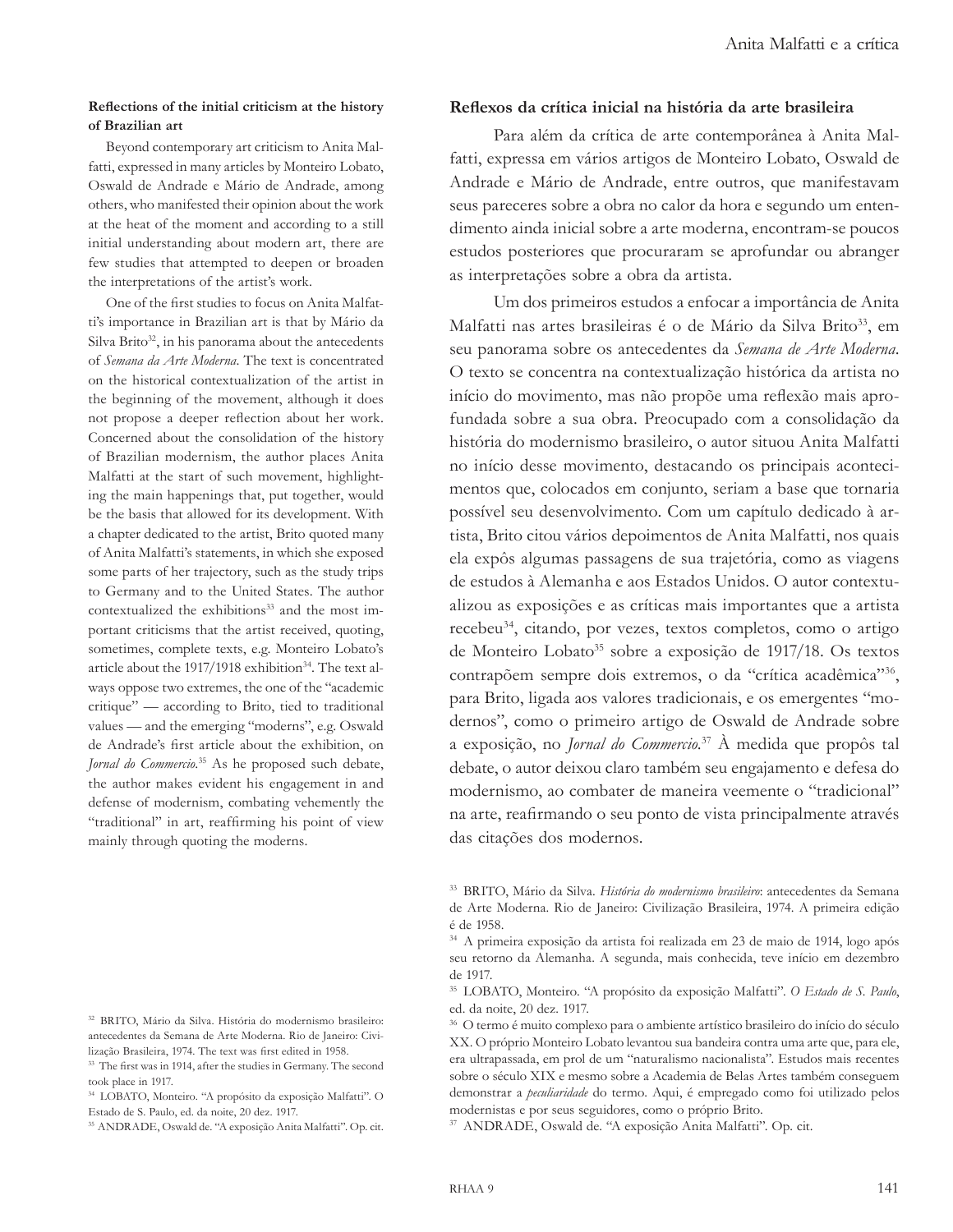#### **Reflections of the initial criticism at the history of Brazilian art**

Beyond contemporary art criticism to Anita Malfatti, expressed in many articles by Monteiro Lobato, Oswald de Andrade e Mário de Andrade, among others, who manifested their opinion about the work at the heat of the moment and according to a still initial understanding about modern art, there are few studies that attempted to deepen or broaden the interpretations of the artist's work.

One of the first studies to focus on Anita Malfatti's importance in Brazilian art is that by Mário da Silva Brito<sup>32</sup>, in his panorama about the antecedents of *Semana da Arte Moderna*. The text is concentrated on the historical contextualization of the artist in the beginning of the movement, although it does not propose a deeper reflection about her work. Concerned about the consolidation of the history of Brazilian modernism, the author places Anita Malfatti at the start of such movement, highlighting the main happenings that, put together, would be the basis that allowed for its development. With a chapter dedicated to the artist, Brito quoted many of Anita Malfatti's statements, in which she exposed some parts of her trajectory, such as the study trips to Germany and to the United States. The author contextualized the exhibitions<sup>33</sup> and the most important criticisms that the artist received, quoting, sometimes, complete texts, e.g. Monteiro Lobato's article about the 1917/1918 exhibition<sup>34</sup>. The text always oppose two extremes, the one of the "academic critique" — according to Brito, tied to traditional values — and the emerging "moderns", e.g. Oswald de Andrade's first article about the exhibition, on *Jornal do Commercio*. 35 As he proposed such debate, the author makes evident his engagement in and defense of modernism, combating vehemently the "traditional" in art, reaffirming his point of view mainly through quoting the moderns.

### **Reflexos da crítica inicial na história da arte brasileira**

Para além da crítica de arte contemporânea à Anita Malfatti, expressa em vários artigos de Monteiro Lobato, Oswald de Andrade e Mário de Andrade, entre outros, que manifestavam seus pareceres sobre a obra no calor da hora e segundo um entendimento ainda inicial sobre a arte moderna, encontram-se poucos estudos posteriores que procuraram se aprofundar ou abranger as interpretações sobre a obra da artista.

Um dos primeiros estudos a enfocar a importância de Anita Malfatti nas artes brasileiras é o de Mário da Silva Brito<sup>33</sup>, em seu panorama sobre os antecedentes da *Semana de Arte Moderna*. O texto se concentra na contextualização histórica da artista no início do movimento, mas não propõe uma reflexão mais aprofundada sobre a sua obra. Preocupado com a consolidação da história do modernismo brasileiro, o autor situou Anita Malfatti no início desse movimento, destacando os principais acontecimentos que, colocados em conjunto, seriam a base que tornaria possível seu desenvolvimento. Com um capítulo dedicado à artista, Brito citou vários depoimentos de Anita Malfatti, nos quais ela expôs algumas passagens de sua trajetória, como as viagens de estudos à Alemanha e aos Estados Unidos. O autor contextualizou as exposições e as críticas mais importantes que a artista recebeu<sup>34</sup>, citando, por vezes, textos completos, como o artigo de Monteiro Lobato<sup>35</sup> sobre a exposição de 1917/18. Os textos contrapõem sempre dois extremos, o da "crítica acadêmica"36, para Brito, ligada aos valores tradicionais, e os emergentes "modernos", como o primeiro artigo de Oswald de Andrade sobre a exposição, no *Jornal do Commercio*. <sup>37</sup> À medida que propôs tal debate, o autor deixou claro também seu engajamento e defesa do modernismo, ao combater de maneira veemente o "tradicional" na arte, reafirmando o seu ponto de vista principalmente através das citações dos modernos.

<sup>32</sup> BRITO, Mário da Silva. História do modernismo brasileiro: antecedentes da Semana de Arte Moderna. Rio de Janeiro: Civilização Brasileira, 1974. The text was first edited in 1958.

<sup>33</sup> The first was in 1914, after the studies in Germany. The second took place in 1917.

<sup>34</sup> LOBATO, Monteiro. "A propósito da exposição Malfatti". O Estado de S. Paulo, ed. da noite, 20 dez. 1917.

<sup>35</sup> ANDRADE, Oswald de. "A exposição Anita Malfatti". Op. cit.

<sup>33</sup> BRITO, Mário da Silva. *História do modernismo brasileiro*: antecedentes da Semana de Arte Moderna. Rio de Janeiro: Civilização Brasileira, 1974. A primeira edição é de 1958.

<sup>34</sup> A primeira exposição da artista foi realizada em 23 de maio de 1914, logo após seu retorno da Alemanha. A segunda, mais conhecida, teve início em dezembro de 1917.

<sup>35</sup> LOBATO, Monteiro. "A propósito da exposição Malfatti". *O Estado de S. Paulo*, ed. da noite, 20 dez. 1917.

<sup>36</sup> O termo é muito complexo para o ambiente artístico brasileiro do início do século XX. O próprio Monteiro Lobato levantou sua bandeira contra uma arte que, para ele, era ultrapassada, em prol de um "naturalismo nacionalista". Estudos mais recentes sobre o século XIX e mesmo sobre a Academia de Belas Artes também conseguem demonstrar a *peculiaridade* do termo. Aqui, é empregado como foi utilizado pelos modernistas e por seus seguidores, como o próprio Brito.

<sup>37</sup> ANDRADE, Oswald de. "A exposição Anita Malfatti". Op. cit.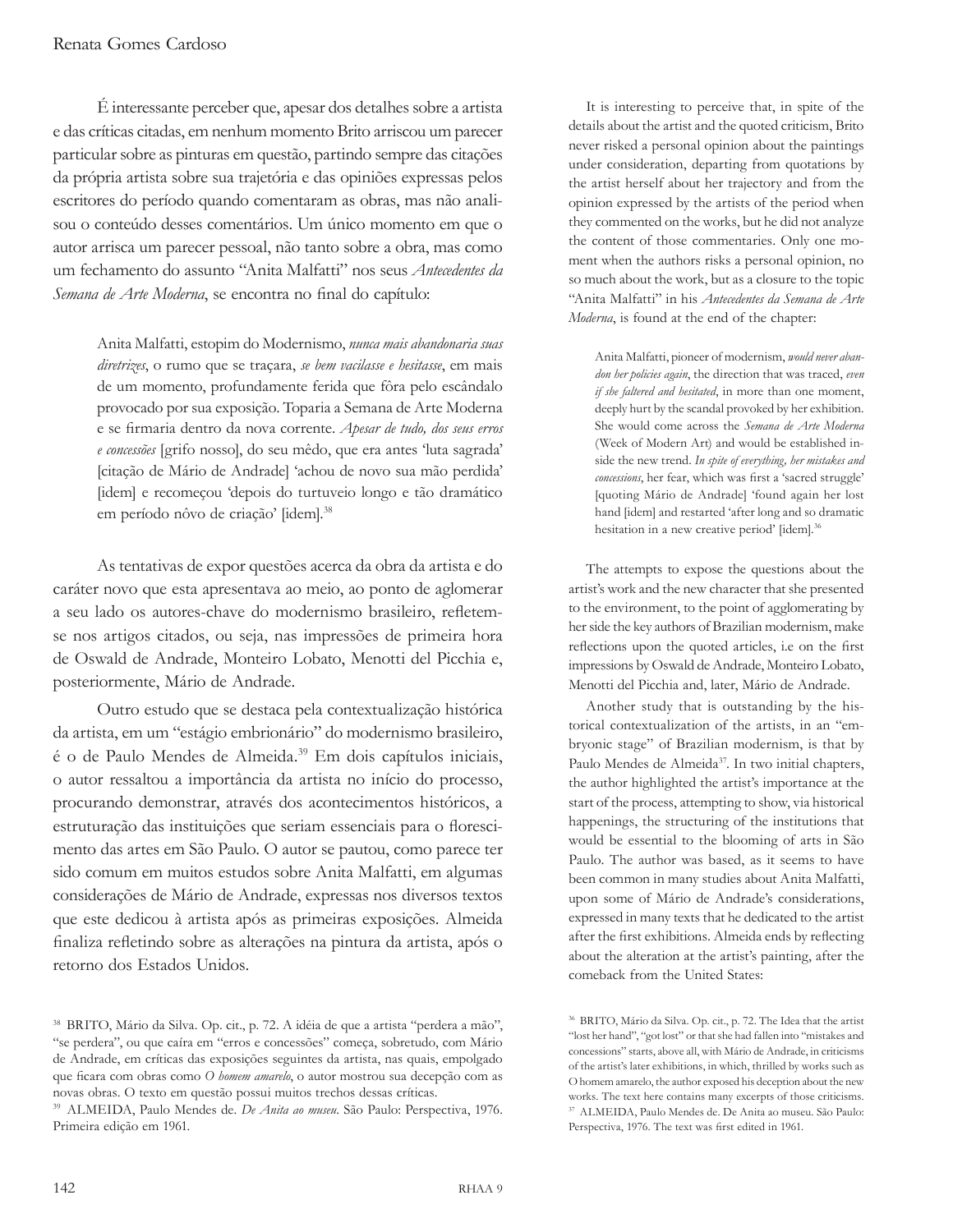É interessante perceber que, apesar dos detalhes sobre a artista e das críticas citadas, em nenhum momento Brito arriscou um parecer particular sobre as pinturas em questão, partindo sempre das citações da própria artista sobre sua trajetória e das opiniões expressas pelos escritores do período quando comentaram as obras, mas não analisou o conteúdo desses comentários. Um único momento em que o autor arrisca um parecer pessoal, não tanto sobre a obra, mas como um fechamento do assunto "Anita Malfatti" nos seus *Antecedentes da Semana de Arte Moderna*, se encontra no final do capítulo:

Anita Malfatti, estopim do Modernismo, *nunca mais abandonaria suas diretrizes*, o rumo que se traçara, *se bem vacilasse e hesitasse*, em mais de um momento, profundamente ferida que fôra pelo escândalo provocado por sua exposição. Toparia a Semana de Arte Moderna e se firmaria dentro da nova corrente. *Apesar de tudo, dos seus erros e concessões* [grifo nosso], do seu mêdo, que era antes 'luta sagrada' [citação de Mário de Andrade] 'achou de novo sua mão perdida' [idem] e recomeçou 'depois do turtuveio longo e tão dramático em período nôvo de criação' [idem].<sup>38</sup>

As tentativas de expor questões acerca da obra da artista e do caráter novo que esta apresentava ao meio, ao ponto de aglomerar a seu lado os autores-chave do modernismo brasileiro, refletemse nos artigos citados, ou seja, nas impressões de primeira hora de Oswald de Andrade, Monteiro Lobato, Menotti del Picchia e, posteriormente, Mário de Andrade.

Outro estudo que se destaca pela contextualização histórica da artista, em um "estágio embrionário" do modernismo brasileiro, é o de Paulo Mendes de Almeida.<sup>39</sup> Em dois capítulos iniciais, o autor ressaltou a importância da artista no início do processo, procurando demonstrar, através dos acontecimentos históricos, a estruturação das instituições que seriam essenciais para o florescimento das artes em São Paulo. O autor se pautou, como parece ter sido comum em muitos estudos sobre Anita Malfatti, em algumas considerações de Mário de Andrade, expressas nos diversos textos que este dedicou à artista após as primeiras exposições. Almeida finaliza refletindo sobre as alterações na pintura da artista, após o retorno dos Estados Unidos.

It is interesting to perceive that, in spite of the details about the artist and the quoted criticism, Brito never risked a personal opinion about the paintings under consideration, departing from quotations by the artist herself about her trajectory and from the opinion expressed by the artists of the period when they commented on the works, but he did not analyze the content of those commentaries. Only one moment when the authors risks a personal opinion, no so much about the work, but as a closure to the topic "Anita Malfatti" in his *Antecedentes da Semana de Arte Moderna*, is found at the end of the chapter:

Anita Malfatti, pioneer of modernism, *would never abandon her policies again*, the direction that was traced, *even if she faltered and hesitated*, in more than one moment, deeply hurt by the scandal provoked by her exhibition. She would come across the *Semana de Arte Moderna* (Week of Modern Art) and would be established inside the new trend. *In spite of everything, her mistakes and concessions*, her fear, which was first a 'sacred struggle' [quoting Mário de Andrade] 'found again her lost hand [idem] and restarted 'after long and so dramatic hesitation in a new creative period' [idem].<sup>36</sup>

The attempts to expose the questions about the artist's work and the new character that she presented to the environment, to the point of agglomerating by her side the key authors of Brazilian modernism, make reflections upon the quoted articles, i.e on the first impressions by Oswald de Andrade, Monteiro Lobato, Menotti del Picchia and, later, Mário de Andrade.

Another study that is outstanding by the historical contextualization of the artists, in an "embryonic stage" of Brazilian modernism, is that by Paulo Mendes de Almeida<sup>37</sup>. In two initial chapters, the author highlighted the artist's importance at the start of the process, attempting to show, via historical happenings, the structuring of the institutions that would be essential to the blooming of arts in São Paulo. The author was based, as it seems to have been common in many studies about Anita Malfatti, upon some of Mário de Andrade's considerations, expressed in many texts that he dedicated to the artist after the first exhibitions. Almeida ends by reflecting about the alteration at the artist's painting, after the comeback from the United States:

<sup>38</sup> BRITO, Mário da Silva. Op. cit., p. 72. A idéia de que a artista "perdera a mão", "se perdera", ou que caíra em "erros e concessões" começa, sobretudo, com Mário de Andrade, em críticas das exposições seguintes da artista, nas quais, empolgado que ficara com obras como *O homem amarelo*, o autor mostrou sua decepção com as novas obras. O texto em questão possui muitos trechos dessas críticas.

<sup>39</sup> ALMEIDA, Paulo Mendes de. *De Anita ao museu*. São Paulo: Perspectiva, 1976. Primeira edição em 1961.

<sup>36</sup> BRITO, Mário da Silva. Op. cit., p. 72. The Idea that the artist "lost her hand", "got lost" or that she had fallen into "mistakes and concessions" starts, above all, with Mário de Andrade, in criticisms of the artist's later exhibitions, in which, thrilled by works such as O homem amarelo, the author exposed his deception about the new works. The text here contains many excerpts of those criticisms. <sup>37</sup> ALMEIDA, Paulo Mendes de. De Anita ao museu. São Paulo: Perspectiva, 1976. The text was first edited in 1961.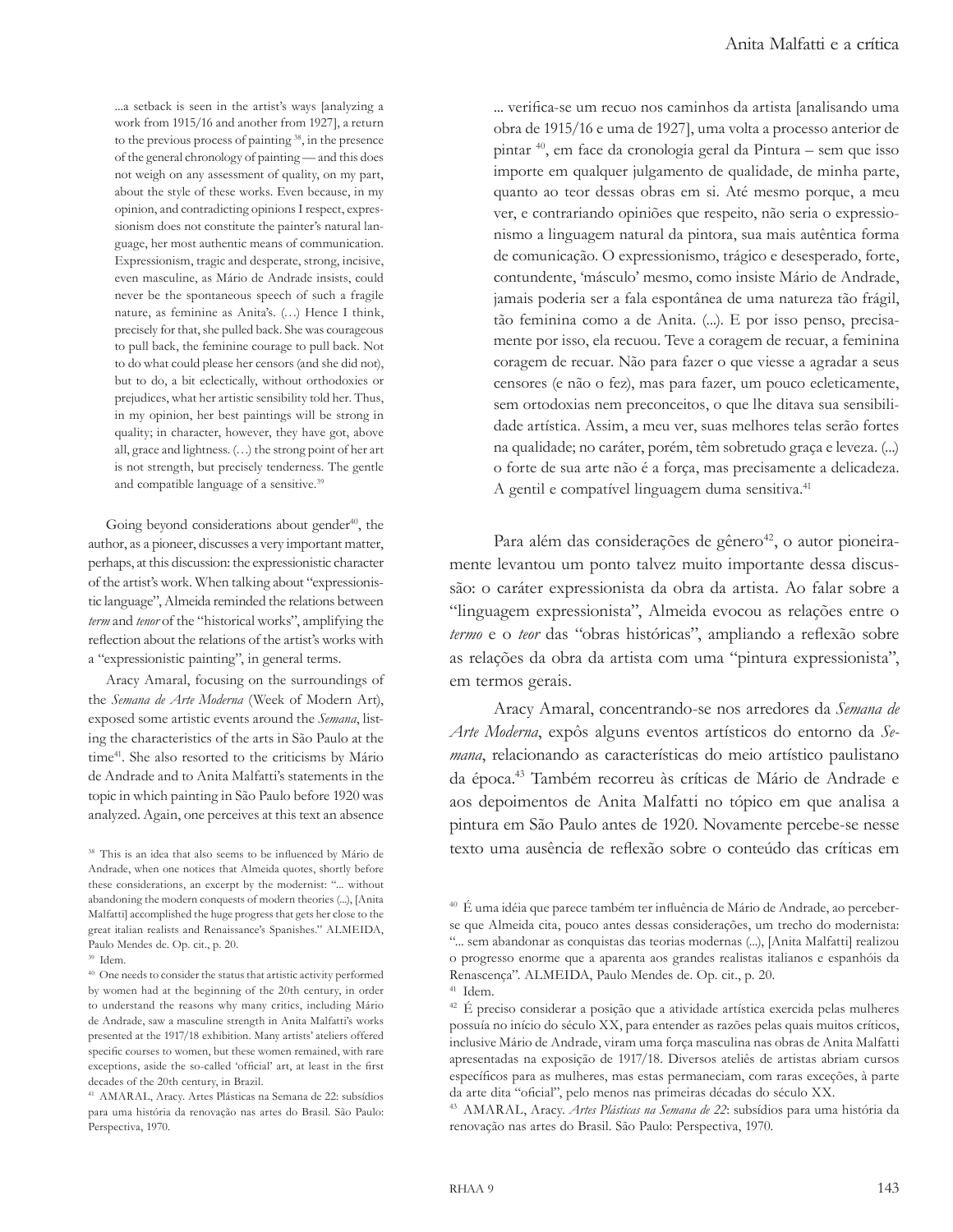...a setback is seen in the artist's ways [analyzing a work from 1915/16 and another from 1927], a return to the previous process of painting <sup>38</sup>, in the presence of the general chronology of painting — and this does not weigh on any assessment of quality, on my part, about the style of these works. Even because, in my opinion, and contradicting opinions I respect, expressionism does not constitute the painter's natural language, her most authentic means of communication. Expressionism, tragic and desperate, strong, incisive, even masculine, as Mário de Andrade insists, could never be the spontaneous speech of such a fragile nature, as feminine as Anita's. (…) Hence I think, precisely for that, she pulled back. She was courageous to pull back, the feminine courage to pull back. Not to do what could please her censors (and she did not), but to do, a bit eclectically, without orthodoxies or prejudices, what her artistic sensibility told her. Thus, in my opinion, her best paintings will be strong in quality; in character, however, they have got, above all, grace and lightness. (…) the strong point of her art is not strength, but precisely tenderness. The gentle and compatible language of a sensitive.<sup>39</sup>

Going beyond considerations about gender $40$ , the author, as a pioneer, discusses a very important matter, perhaps, at this discussion: the expressionistic character of the artist's work. When talking about "expressionistic language", Almeida reminded the relations between *term* and *tenor* of the "historical works", amplifying the reflection about the relations of the artist's works with a "expressionistic painting", in general terms.

Aracy Amaral, focusing on the surroundings of the *Semana de Arte Moderna* (Week of Modern Art), exposed some artistic events around the *Semana*, listing the characteristics of the arts in São Paulo at the time<sup>41</sup>. She also resorted to the criticisms by Mário de Andrade and to Anita Malfatti's statements in the topic in which painting in São Paulo before 1920 was analyzed. Again, one perceives at this text an absence

<sup>39</sup> Idem.

... verifica-se um recuo nos caminhos da artista [analisando uma obra de 1915/16 e uma de 1927], uma volta a processo anterior de pintar <sup>40</sup>, em face da cronologia geral da Pintura – sem que isso importe em qualquer julgamento de qualidade, de minha parte, quanto ao teor dessas obras em si. Até mesmo porque, a meu ver, e contrariando opiniões que respeito, não seria o expressionismo a linguagem natural da pintora, sua mais autêntica forma de comunicação. O expressionismo, trágico e desesperado, forte, contundente, 'másculo' mesmo, como insiste Mário de Andrade, jamais poderia ser a fala espontânea de uma natureza tão frágil, tão feminina como a de Anita. (...). E por isso penso, precisamente por isso, ela recuou. Teve a coragem de recuar, a feminina coragem de recuar. Não para fazer o que viesse a agradar a seus censores (e não o fez), mas para fazer, um pouco ecleticamente, sem ortodoxias nem preconceitos, o que lhe ditava sua sensibilidade artística. Assim, a meu ver, suas melhores telas serão fortes na qualidade; no caráter, porém, têm sobretudo graça e leveza. (...) o forte de sua arte não é a força, mas precisamente a delicadeza. A gentil e compatível linguagem duma sensitiva.<sup>41</sup>

Para além das considerações de gênero<sup>42</sup>, o autor pioneiramente levantou um ponto talvez muito importante dessa discussão: o caráter expressionista da obra da artista. Ao falar sobre a "linguagem expressionista", Almeida evocou as relações entre o *termo* e o *teor* das "obras históricas", ampliando a reflexão sobre as relações da obra da artista com uma "pintura expressionista", em termos gerais.

Aracy Amaral, concentrando-se nos arredores da *Semana de Arte Moderna*, expôs alguns eventos artísticos do entorno da *Semana*, relacionando as características do meio artístico paulistano da época.<sup>43</sup> Também recorreu às críticas de Mário de Andrade e aos depoimentos de Anita Malfatti no tópico em que analisa a pintura em São Paulo antes de 1920. Novamente percebe-se nesse texto uma ausência de reflexão sobre o conteúdo das críticas em

<sup>38</sup> This is an idea that also seems to be influenced by Mário de Andrade, when one notices that Almeida quotes, shortly before these considerations, an excerpt by the modernist: "... without abandoning the modern conquests of modern theories (...), [Anita Malfatti] accomplished the huge progress that gets her close to the great italian realists and Renaissance's Spanishes." ALMEIDA, Paulo Mendes de. Op. cit., p. 20.

<sup>40</sup> One needs to consider the status that artistic activity performed by women had at the beginning of the 20th century, in order to understand the reasons why many critics, including Mário de Andrade, saw a masculine strength in Anita Malfatti's works presented at the 1917/18 exhibition. Many artists' ateliers offered specific courses to women, but these women remained, with rare exceptions, aside the so-called 'official' art, at least in the first decades of the 20th century, in Brazil.

<sup>41</sup> AMARAL, Aracy. Artes Plásticas na Semana de 22: subsídios para uma história da renovação nas artes do Brasil. São Paulo: Perspectiva, 1970.

<sup>40</sup> É uma idéia que parece também ter influência de Mário de Andrade, ao perceberse que Almeida cita, pouco antes dessas considerações, um trecho do modernista: "... sem abandonar as conquistas das teorias modernas (...), [Anita Malfatti] realizou o progresso enorme que a aparenta aos grandes realistas italianos e espanhóis da Renascença". ALMEIDA, Paulo Mendes de. Op. cit., p. 20. <sup>41</sup> Idem.

<sup>42</sup> É preciso considerar a posição que a atividade artística exercida pelas mulheres possuía no início do século XX, para entender as razões pelas quais muitos críticos, inclusive Mário de Andrade, viram uma força masculina nas obras de Anita Malfatti apresentadas na exposição de 1917/18. Diversos ateliês de artistas abriam cursos específicos para as mulheres, mas estas permaneciam, com raras exceções, à parte da arte dita "oficial", pelo menos nas primeiras décadas do século XX.

<sup>43</sup> AMARAL, Aracy. *Artes Plásticas na Semana de 22*: subsídios para uma história da renovação nas artes do Brasil. São Paulo: Perspectiva, 1970.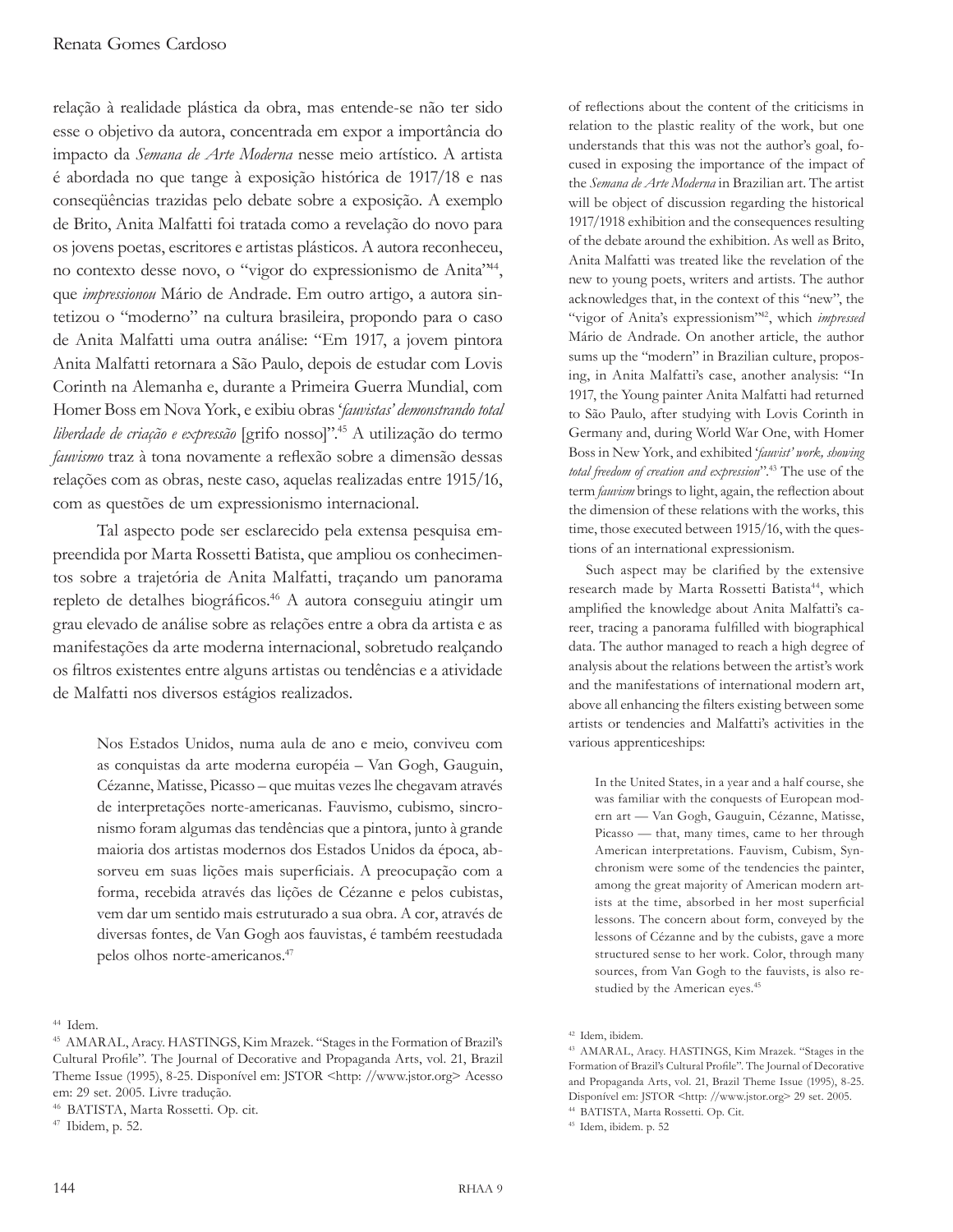relação à realidade plástica da obra, mas entende-se não ter sido esse o objetivo da autora, concentrada em expor a importância do impacto da *Semana de Arte Moderna* nesse meio artístico. A artista é abordada no que tange à exposição histórica de 1917/18 e nas conseqüências trazidas pelo debate sobre a exposição. A exemplo de Brito, Anita Malfatti foi tratada como a revelação do novo para os jovens poetas, escritores e artistas plásticos. A autora reconheceu, no contexto desse novo, o "vigor do expressionismo de Anita"<sup>44</sup>, que *impressionou* Mário de Andrade. Em outro artigo, a autora sintetizou o "moderno" na cultura brasileira, propondo para o caso de Anita Malfatti uma outra análise: "Em 1917, a jovem pintora Anita Malfatti retornara a São Paulo, depois de estudar com Lovis Corinth na Alemanha e, durante a Primeira Guerra Mundial, com Homer Boss em Nova York, e exibiu obras '*fauvistas' demonstrando total liberdade de criação e expressão* [grifo nosso]".45 A utilização do termo *fauvismo* traz à tona novamente a reflexão sobre a dimensão dessas relações com as obras, neste caso, aquelas realizadas entre 1915/16, com as questões de um expressionismo internacional.

Tal aspecto pode ser esclarecido pela extensa pesquisa empreendida por Marta Rossetti Batista, que ampliou os conhecimentos sobre a trajetória de Anita Malfatti, traçando um panorama repleto de detalhes biográficos.46 A autora conseguiu atingir um grau elevado de análise sobre as relações entre a obra da artista e as manifestações da arte moderna internacional, sobretudo realçando os filtros existentes entre alguns artistas ou tendências e a atividade de Malfatti nos diversos estágios realizados.

Nos Estados Unidos, numa aula de ano e meio, conviveu com as conquistas da arte moderna européia – Van Gogh, Gauguin, Cézanne, Matisse, Picasso – que muitas vezes lhe chegavam através de interpretações norte-americanas. Fauvismo, cubismo, sincronismo foram algumas das tendências que a pintora, junto à grande maioria dos artistas modernos dos Estados Unidos da época, absorveu em suas lições mais superficiais. A preocupação com a forma, recebida através das lições de Cézanne e pelos cubistas, vem dar um sentido mais estruturado a sua obra. A cor, através de diversas fontes, de Van Gogh aos fauvistas, é também reestudada pelos olhos norte-americanos.<sup>47</sup>

<sup>44</sup> Idem.

of reflections about the content of the criticisms in relation to the plastic reality of the work, but one understands that this was not the author's goal, focused in exposing the importance of the impact of the *Semana de Arte Moderna* in Brazilian art. The artist will be object of discussion regarding the historical 1917/1918 exhibition and the consequences resulting of the debate around the exhibition. As well as Brito, Anita Malfatti was treated like the revelation of the new to young poets, writers and artists. The author acknowledges that, in the context of this "new", the "vigor of Anita's expressionism"<sup>42</sup>, which *impressed* Mário de Andrade. On another article, the author sums up the "modern" in Brazilian culture, proposing, in Anita Malfatti's case, another analysis: "In 1917, the Young painter Anita Malfatti had returned to São Paulo, after studying with Lovis Corinth in Germany and, during World War One, with Homer Boss in New York, and exhibited '*fauvist' work, showing total freedom of creation and expression*".<sup>43</sup> The use of the term *fauvism* brings to light, again, the reflection about the dimension of these relations with the works, this time, those executed between 1915/16, with the questions of an international expressionism.

Such aspect may be clarified by the extensive research made by Marta Rossetti Batista<sup>44</sup>, which amplified the knowledge about Anita Malfatti's career, tracing a panorama fulfilled with biographical data. The author managed to reach a high degree of analysis about the relations between the artist's work and the manifestations of international modern art, above all enhancing the filters existing between some artists or tendencies and Malfatti's activities in the various apprenticeships:

In the United States, in a year and a half course, she was familiar with the conquests of European modern art — Van Gogh, Gauguin, Cézanne, Matisse, Picasso — that, many times, came to her through American interpretations. Fauvism, Cubism, Synchronism were some of the tendencies the painter, among the great majority of American modern artists at the time, absorbed in her most superficial lessons. The concern about form, conveyed by the lessons of Cézanne and by the cubists, gave a more structured sense to her work. Color, through many sources, from Van Gogh to the fauvists, is also restudied by the American eyes.<sup>45</sup>

<sup>45</sup> AMARAL, Aracy. HASTINGS, Kim Mrazek. "Stages in the Formation of Brazil's Cultural Profile". The Journal of Decorative and Propaganda Arts, vol. 21, Brazil Theme Issue (1995), 8-25. Disponível em: JSTOR <http: //www.jstor.org> Acesso em: 29 set. 2005. Livre tradução.

<sup>46</sup> BATISTA, Marta Rossetti. Op. cit.

<sup>47</sup> Ibidem, p. 52.

<sup>42</sup> Idem, ibidem.

<sup>43</sup> AMARAL, Aracy. HASTINGS, Kim Mrazek. "Stages in the Formation of Brazil's Cultural Profile". The Journal of Decorative and Propaganda Arts, vol. 21, Brazil Theme Issue (1995), 8-25. Disponível em: JSTOR <http: //www.jstor.org> 29 set. 2005.

<sup>44</sup> BATISTA, Marta Rossetti. Op. Cit.

<sup>45</sup> Idem, ibidem. p. 52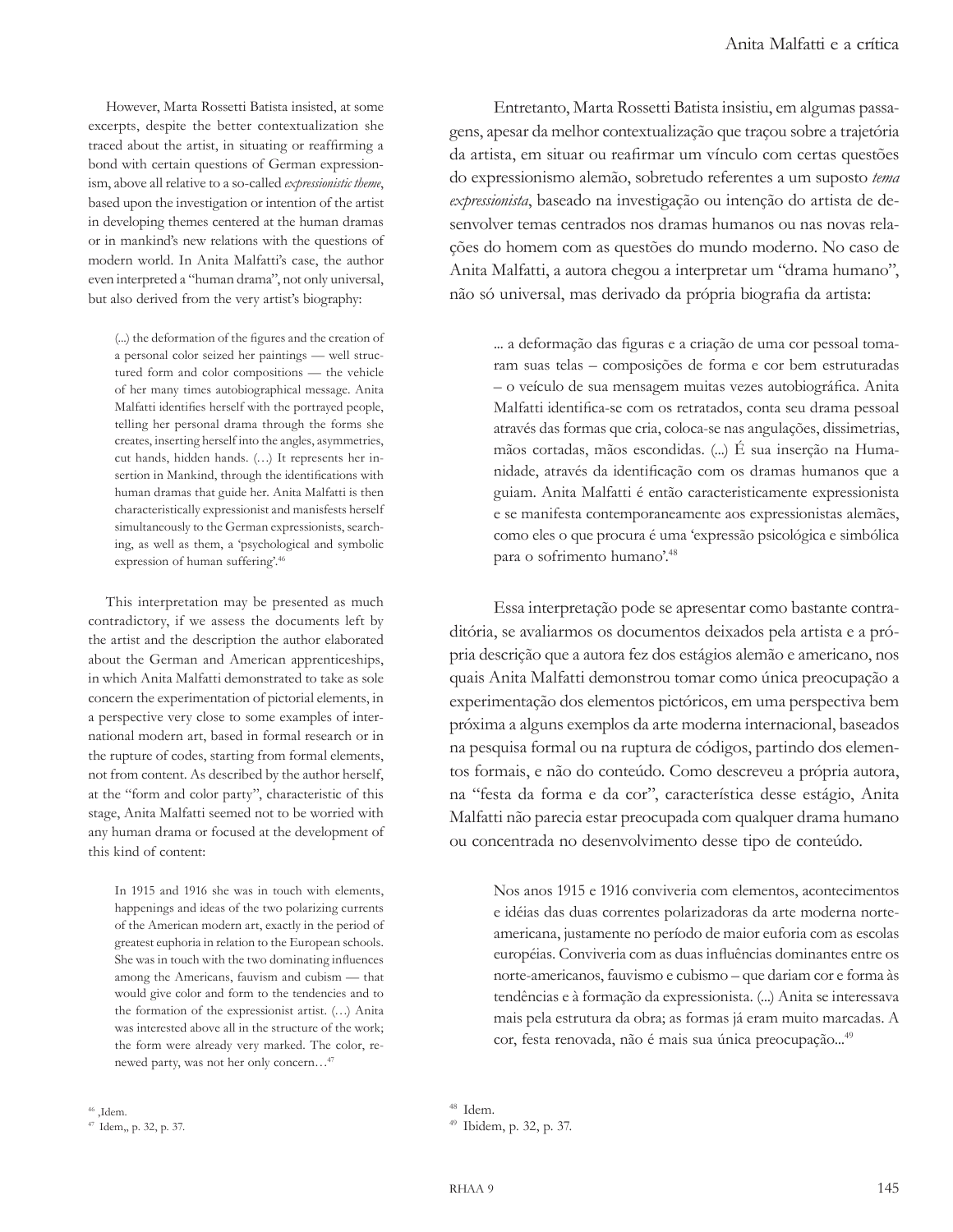However, Marta Rossetti Batista insisted, at some excerpts, despite the better contextualization she traced about the artist, in situating or reaffirming a bond with certain questions of German expressionism, above all relative to a so-called *expressionistic theme*, based upon the investigation or intention of the artist in developing themes centered at the human dramas or in mankind's new relations with the questions of modern world. In Anita Malfatti's case, the author even interpreted a "human drama", not only universal, but also derived from the very artist's biography:

(...) the deformation of the figures and the creation of a personal color seized her paintings — well structured form and color compositions — the vehicle of her many times autobiographical message. Anita Malfatti identifies herself with the portrayed people, telling her personal drama through the forms she creates, inserting herself into the angles, asymmetries, cut hands, hidden hands. (…) It represents her insertion in Mankind, through the identifications with human dramas that guide her. Anita Malfatti is then characteristically expressionist and manisfests herself simultaneously to the German expressionists, searching, as well as them, a 'psychological and symbolic expression of human suffering'.46

This interpretation may be presented as much contradictory, if we assess the documents left by the artist and the description the author elaborated about the German and American apprenticeships, in which Anita Malfatti demonstrated to take as sole concern the experimentation of pictorial elements, in a perspective very close to some examples of international modern art, based in formal research or in the rupture of codes, starting from formal elements, not from content. As described by the author herself, at the "form and color party", characteristic of this stage, Anita Malfatti seemed not to be worried with any human drama or focused at the development of this kind of content:

In 1915 and 1916 she was in touch with elements, happenings and ideas of the two polarizing currents of the American modern art, exactly in the period of greatest euphoria in relation to the European schools. She was in touch with the two dominating influences among the Americans, fauvism and cubism — that would give color and form to the tendencies and to the formation of the expressionist artist. (…) Anita was interested above all in the structure of the work; the form were already very marked. The color, renewed party, was not her only concern…<sup>47</sup>

Entretanto, Marta Rossetti Batista insistiu, em algumas passagens, apesar da melhor contextualização que traçou sobre a trajetória da artista, em situar ou reafirmar um vínculo com certas questões do expressionismo alemão, sobretudo referentes a um suposto *tema expressionista*, baseado na investigação ou intenção do artista de desenvolver temas centrados nos dramas humanos ou nas novas relações do homem com as questões do mundo moderno. No caso de Anita Malfatti, a autora chegou a interpretar um "drama humano", não só universal, mas derivado da própria biografia da artista:

... a deformação das figuras e a criação de uma cor pessoal tomaram suas telas – composições de forma e cor bem estruturadas – o veículo de sua mensagem muitas vezes autobiográfica. Anita Malfatti identifica-se com os retratados, conta seu drama pessoal através das formas que cria, coloca-se nas angulações, dissimetrias, mãos cortadas, mãos escondidas. (...) É sua inserção na Humanidade, através da identificação com os dramas humanos que a guiam. Anita Malfatti é então caracteristicamente expressionista e se manifesta contemporaneamente aos expressionistas alemães, como eles o que procura é uma 'expressão psicológica e simbólica para o sofrimento humano'.<sup>48</sup>

Essa interpretação pode se apresentar como bastante contraditória, se avaliarmos os documentos deixados pela artista e a própria descrição que a autora fez dos estágios alemão e americano, nos quais Anita Malfatti demonstrou tomar como única preocupação a experimentação dos elementos pictóricos, em uma perspectiva bem próxima a alguns exemplos da arte moderna internacional, baseados na pesquisa formal ou na ruptura de códigos, partindo dos elementos formais, e não do conteúdo. Como descreveu a própria autora, na "festa da forma e da cor", característica desse estágio, Anita Malfatti não parecia estar preocupada com qualquer drama humano ou concentrada no desenvolvimento desse tipo de conteúdo.

Nos anos 1915 e 1916 conviveria com elementos, acontecimentos e idéias das duas correntes polarizadoras da arte moderna norteamericana, justamente no período de maior euforia com as escolas européias. Conviveria com as duas influências dominantes entre os norte-americanos, fauvismo e cubismo – que dariam cor e forma às tendências e à formação da expressionista. (...) Anita se interessava mais pela estrutura da obra; as formas já eram muito marcadas. A cor, festa renovada, não é mais sua única preocupação...<sup>49</sup>

<sup>46</sup> ,Idem.

<sup>47</sup> Idem,, p. 32, p. 37.

<sup>48</sup> Idem.

<sup>49</sup> Ibidem, p. 32, p. 37.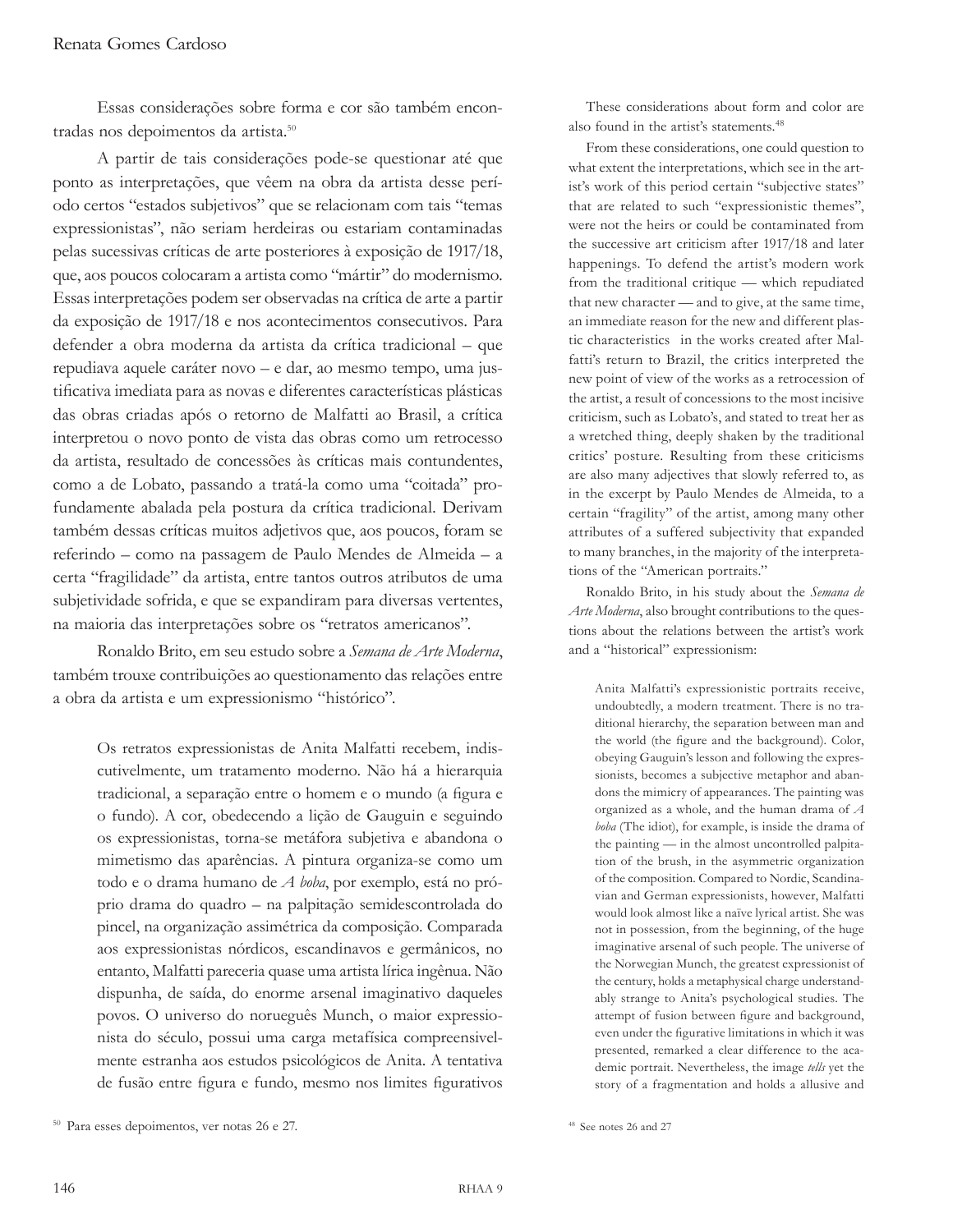Essas considerações sobre forma e cor são também encontradas nos depoimentos da artista.<sup>50</sup>

A partir de tais considerações pode-se questionar até que ponto as interpretações, que vêem na obra da artista desse período certos "estados subjetivos" que se relacionam com tais "temas expressionistas", não seriam herdeiras ou estariam contaminadas pelas sucessivas críticas de arte posteriores à exposição de 1917/18, que, aos poucos colocaram a artista como "mártir" do modernismo. Essas interpretações podem ser observadas na crítica de arte a partir da exposição de 1917/18 e nos acontecimentos consecutivos. Para defender a obra moderna da artista da crítica tradicional – que repudiava aquele caráter novo – e dar, ao mesmo tempo, uma justificativa imediata para as novas e diferentes características plásticas das obras criadas após o retorno de Malfatti ao Brasil, a crítica interpretou o novo ponto de vista das obras como um retrocesso da artista, resultado de concessões às críticas mais contundentes, como a de Lobato, passando a tratá-la como uma "coitada" profundamente abalada pela postura da crítica tradicional. Derivam também dessas críticas muitos adjetivos que, aos poucos, foram se referindo – como na passagem de Paulo Mendes de Almeida – a certa "fragilidade" da artista, entre tantos outros atributos de uma subjetividade sofrida, e que se expandiram para diversas vertentes, na maioria das interpretações sobre os "retratos americanos".

Ronaldo Brito, em seu estudo sobre a *Semana de Arte Moderna*, também trouxe contribuições ao questionamento das relações entre a obra da artista e um expressionismo "histórico".

Os retratos expressionistas de Anita Malfatti recebem, indiscutivelmente, um tratamento moderno. Não há a hierarquia tradicional, a separação entre o homem e o mundo (a figura e o fundo). A cor, obedecendo a lição de Gauguin e seguindo os expressionistas, torna-se metáfora subjetiva e abandona o mimetismo das aparências. A pintura organiza-se como um todo e o drama humano de *A boba*, por exemplo, está no próprio drama do quadro – na palpitação semidescontrolada do pincel, na organização assimétrica da composição. Comparada aos expressionistas nórdicos, escandinavos e germânicos, no entanto, Malfatti pareceria quase uma artista lírica ingênua. Não dispunha, de saída, do enorme arsenal imaginativo daqueles povos. O universo do norueguês Munch, o maior expressionista do século, possui uma carga metafísica compreensivelmente estranha aos estudos psicológicos de Anita. A tentativa de fusão entre figura e fundo, mesmo nos limites figurativos

These considerations about form and color are also found in the artist's statements.<sup>48</sup>

From these considerations, one could question to what extent the interpretations, which see in the artist's work of this period certain "subjective states" that are related to such "expressionistic themes", were not the heirs or could be contaminated from the successive art criticism after 1917/18 and later happenings. To defend the artist's modern work from the traditional critique — which repudiated that new character — and to give, at the same time, an immediate reason for the new and different plastic characteristics in the works created after Malfatti's return to Brazil, the critics interpreted the new point of view of the works as a retrocession of the artist, a result of concessions to the most incisive criticism, such as Lobato's, and stated to treat her as a wretched thing, deeply shaken by the traditional critics' posture. Resulting from these criticisms are also many adjectives that slowly referred to, as in the excerpt by Paulo Mendes de Almeida, to a certain "fragility" of the artist, among many other attributes of a suffered subjectivity that expanded to many branches, in the majority of the interpretations of the "American portraits."

Ronaldo Brito, in his study about the *Semana de Arte Moderna*, also brought contributions to the questions about the relations between the artist's work and a "historical" expressionism:

Anita Malfatti's expressionistic portraits receive, undoubtedly, a modern treatment. There is no traditional hierarchy, the separation between man and the world (the figure and the background). Color, obeying Gauguin's lesson and following the expressionists, becomes a subjective metaphor and abandons the mimicry of appearances. The painting was organized as a whole, and the human drama of *A boba* (The idiot), for example, is inside the drama of the painting — in the almost uncontrolled palpitation of the brush, in the asymmetric organization of the composition. Compared to Nordic, Scandinavian and German expressionists, however, Malfatti would look almost like a naïve lyrical artist. She was not in possession, from the beginning, of the huge imaginative arsenal of such people. The universe of the Norwegian Munch, the greatest expressionist of the century, holds a metaphysical charge understandably strange to Anita's psychological studies. The attempt of fusion between figure and background, even under the figurative limitations in which it was presented, remarked a clear difference to the academic portrait. Nevertheless, the image *tells* yet the story of a fragmentation and holds a allusive and

<sup>50</sup> Para esses depoimentos, ver notas 26 e 27.